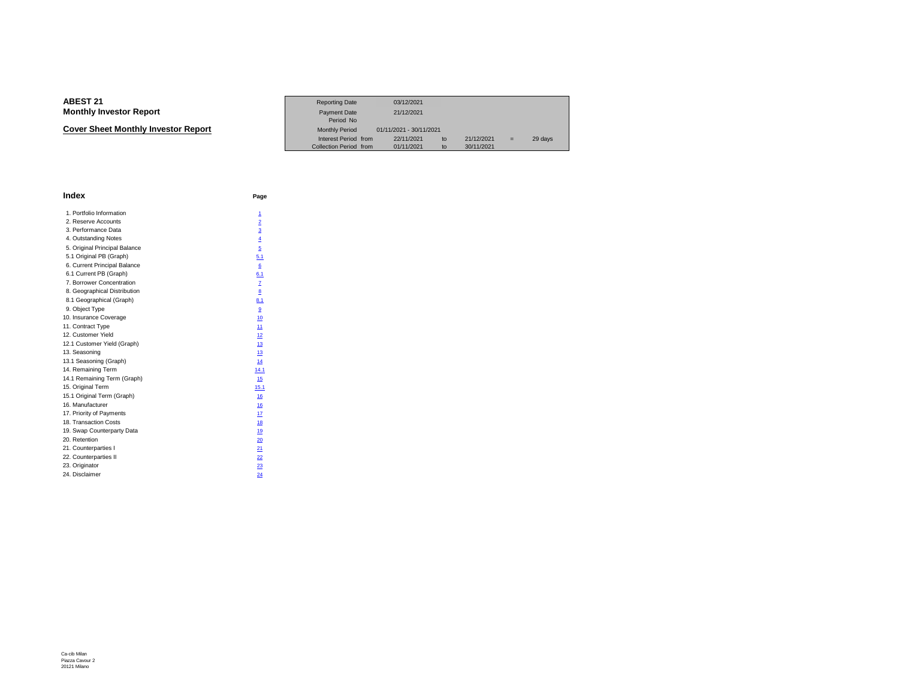**Cover Sheet Monthly Investor Report**

|                             | <b>Reporting Date</b>  | 03/12/2021              |            |     |         |
|-----------------------------|------------------------|-------------------------|------------|-----|---------|
| Investor Report             | <b>Payment Date</b>    | 21/12/2021              |            |     |         |
|                             | Period No              |                         |            |     |         |
| eet Monthlv Investor Report | <b>Monthly Period</b>  | 01/11/2021 - 30/11/2021 |            |     |         |
|                             | Interest Period from   | 22/11/2021<br>to        | 21/12/2021 | $=$ | 29 days |
|                             | Collection Period from | 01/11/2021<br>to        | 30/11/2021 |     |         |

| Index                         | Page                    |
|-------------------------------|-------------------------|
| 1. Portfolio Information      | 1                       |
| 2. Reserve Accounts           | $\overline{2}$          |
| 3. Performance Data           | $\overline{\mathbf{3}}$ |
| 4. Outstanding Notes          | $\overline{4}$          |
| 5. Original Principal Balance | 5                       |
| 5.1 Original PB (Graph)       | 5.1                     |
| 6. Current Principal Balance  | 6                       |
| 6.1 Current PB (Graph)        | 6.1                     |
| 7. Borrower Concentration     | Z                       |
| 8. Geographical Distribution  | 8                       |
| 8.1 Geographical (Graph)      | 8.1                     |
| 9. Object Type                | 9                       |
| 10. Insurance Coverage        | 10                      |
| 11. Contract Type             | 11                      |
| 12. Customer Yield            | 12                      |
| 12.1 Customer Yield (Graph)   | 13                      |
| 13. Seasoning                 | 13                      |
| 13.1 Seasoning (Graph)        | 14                      |
| 14. Remaining Term            | 14.1                    |
| 14.1 Remaining Term (Graph)   | 15                      |
| 15. Original Term             | 15.1                    |
| 15.1 Original Term (Graph)    | 16                      |
| 16. Manufacturer              | 16                      |
| 17. Priority of Payments      | 17                      |
| 18. Transaction Costs         | 18                      |
| 19. Swap Counterparty Data    | 19                      |
| 20. Retention                 | 20                      |
| 21. Counterparties I          | 21                      |
| 22. Counterparties II         | 22                      |
| 23. Originator                | 23                      |
| 24. Disclaimer                | 24                      |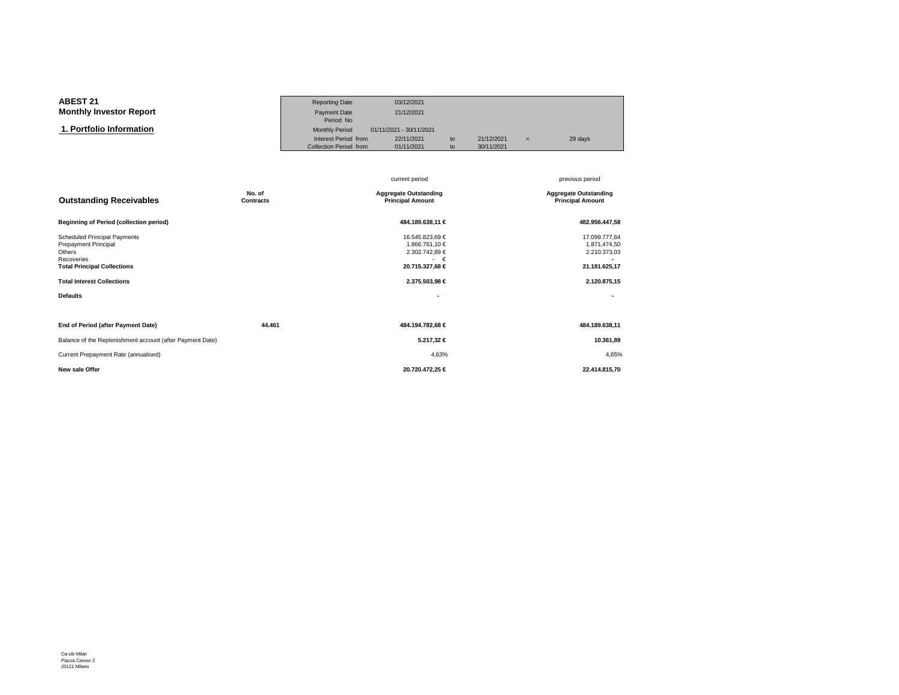| <b>ABEST 21</b>                | <b>Reporting Date</b>  | 03/12/2021              |    |            |     |         |
|--------------------------------|------------------------|-------------------------|----|------------|-----|---------|
| <b>Monthly Investor Report</b> | Payment Date           | 21/12/2021              |    |            |     |         |
|                                | Period No              |                         |    |            |     |         |
| 1. Portfolio Information       | <b>Monthly Period</b>  | 01/11/2021 - 30/11/2021 |    |            |     |         |
|                                | Interest Period from   | 22/11/2021              | to | 21/12/2021 | $=$ | 29 days |
|                                | Collection Period from | 01/11/2021              | to | 30/11/2021 |     |         |

|                                                                                                                                                                                   |                     | current period                                                                                          | previous period                                                                |
|-----------------------------------------------------------------------------------------------------------------------------------------------------------------------------------|---------------------|---------------------------------------------------------------------------------------------------------|--------------------------------------------------------------------------------|
| <b>Outstanding Receivables</b>                                                                                                                                                    | No. of<br>Contracts | <b>Aggregate Outstanding</b><br><b>Principal Amount</b>                                                 | <b>Aggregate Outstanding</b><br><b>Principal Amount</b>                        |
| <b>Beginning of Period (collection period)</b>                                                                                                                                    |                     | 484.189.638,11 €                                                                                        | 482.956.447,58                                                                 |
| <b>Scheduled Principal Payments</b><br>Prepayment Principal<br>Others<br>Recoveries<br><b>Total Principal Collections</b><br><b>Total Interest Collections</b><br><b>Defaults</b> |                     | 16.545.823,69 €<br>1.866.761,10 €<br>2.302.742,89 €<br>$\cdot \in$<br>20.715.327,68 €<br>2.375.503,98 € | 17.099.777,64<br>1.871.474,50<br>2.210.373,03<br>21.181.625,17<br>2.120.875,15 |
|                                                                                                                                                                                   |                     |                                                                                                         |                                                                                |
| End of Period (after Payment Date)                                                                                                                                                | 44.461              | 484.194.782,68 €                                                                                        | 484.189.638,11                                                                 |
| Balance of the Replenishment account (after Payment Date)                                                                                                                         |                     | 5.217,32 €                                                                                              | 10.361,89                                                                      |
| Current Prepayment Rate (annualised)                                                                                                                                              |                     | 4,63%                                                                                                   | 4,65%                                                                          |
| New sale Offer                                                                                                                                                                    |                     | 20.720.472,25 €                                                                                         | 22.414.815,70                                                                  |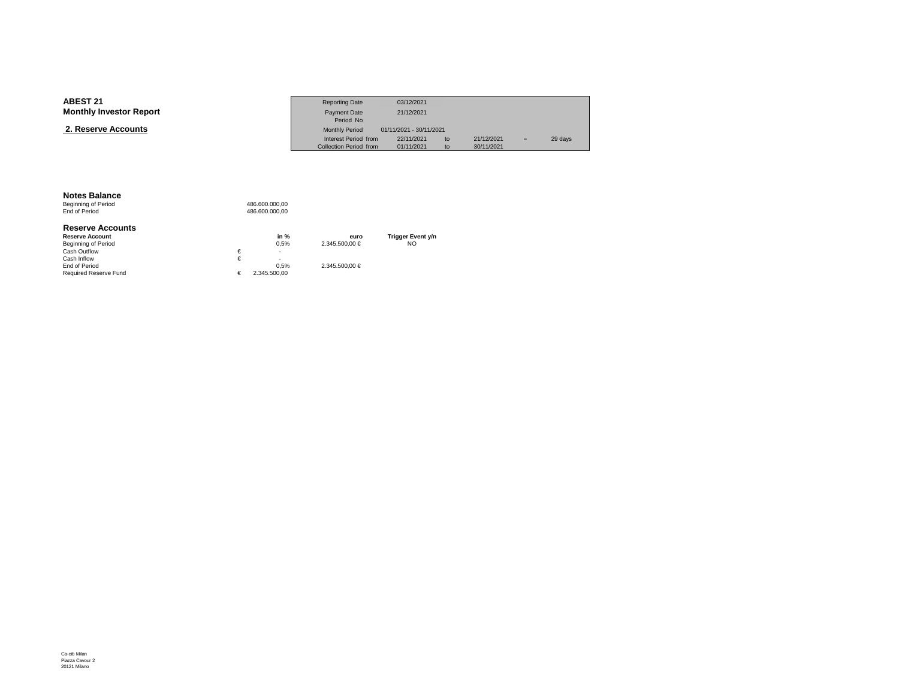| <b>ABEST 21</b>                | <b>Reporting Date</b>  | 03/12/2021              |                  |     |         |
|--------------------------------|------------------------|-------------------------|------------------|-----|---------|
| <b>Monthly Investor Report</b> | <b>Payment Date</b>    | 21/12/2021              |                  |     |         |
|                                | Period No              |                         |                  |     |         |
| 2. Reserve Accounts            | <b>Monthly Period</b>  | 01/11/2021 - 30/11/2021 |                  |     |         |
|                                | Interest Period from   | 22/11/2021              | 21/12/2021<br>to | $=$ | 29 days |
|                                | Collection Period from | 01/11/2021              | 30/11/2021<br>to |     |         |

### **Notes Balance**

Beginning of Period<br>End of Period 486.600.000,00 486.600.000,00

#### **Reserve Accounts**

| <b>Reserve Account</b>       | in $%$       | euro           | <b>Trigger Event y/n</b> |
|------------------------------|--------------|----------------|--------------------------|
| Beginning of Period          | 0.5%         | 2.345.500.00 € | NO                       |
| Cash Outflow                 | ۰            |                |                          |
| Cash Inflow                  | ۰            |                |                          |
| End of Period                | 0.5%         | 2.345.500.00 € |                          |
| <b>Required Reserve Fund</b> | 2.345.500.00 |                |                          |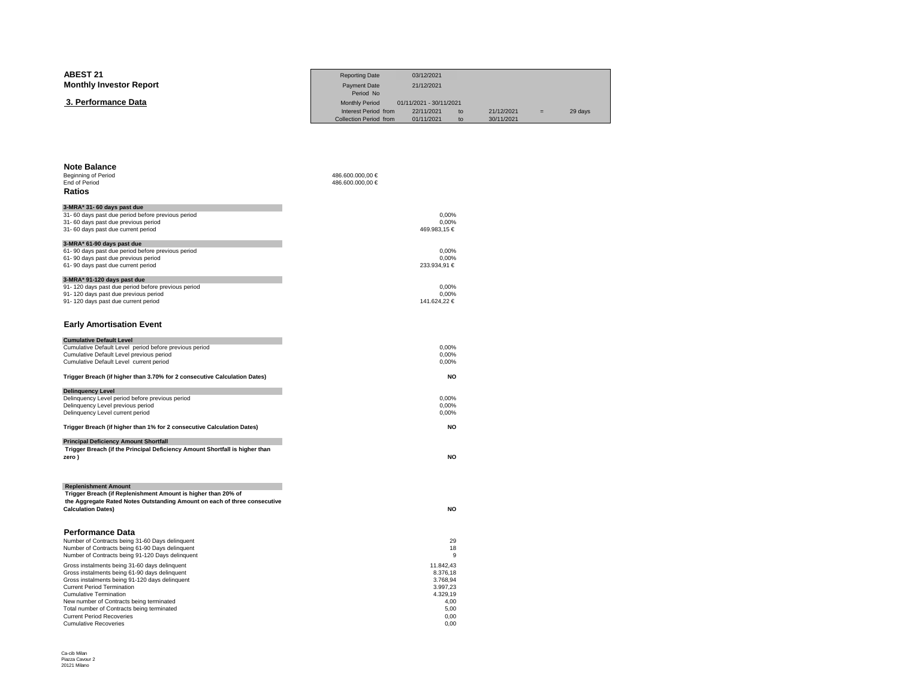| <b>ABEST 21</b>                                                                                                                            | <b>Reporting Date</b>              | 03/12/2021                   |            |         |
|--------------------------------------------------------------------------------------------------------------------------------------------|------------------------------------|------------------------------|------------|---------|
| <b>Monthly Investor Report</b>                                                                                                             | <b>Payment Date</b>                | 21/12/2021                   |            |         |
| 3. Performance Data                                                                                                                        | Period No<br><b>Monthly Period</b> | 01/11/2021 - 30/11/2021      |            |         |
|                                                                                                                                            | Interest Period from               | 22/11/2021<br>t <sub>o</sub> | 21/12/2021 | 29 days |
|                                                                                                                                            | Collection Period from             | 01/11/2021<br>to             | 30/11/2021 |         |
|                                                                                                                                            |                                    |                              |            |         |
|                                                                                                                                            |                                    |                              |            |         |
| <b>Note Balance</b><br>Beginning of Period                                                                                                 | 486.600.000,00 €                   |                              |            |         |
| End of Period                                                                                                                              | 486.600.000,00 €                   |                              |            |         |
| Ratios                                                                                                                                     |                                    |                              |            |         |
| 3-MRA* 31- 60 days past due                                                                                                                |                                    |                              |            |         |
| 31-60 days past due period before previous period<br>31- 60 days past due previous period                                                  |                                    | 0,00%<br>0,00%               |            |         |
| 31- 60 days past due current period                                                                                                        |                                    | 469.983,15 €                 |            |         |
| 3-MRA* 61-90 days past due<br>61-90 days past due period before previous period                                                            |                                    | 0.00%                        |            |         |
| 61-90 days past due previous period                                                                                                        |                                    | 0,00%                        |            |         |
| 61-90 days past due current period                                                                                                         |                                    | 233.934,91 €                 |            |         |
| 3-MRA* 91-120 days past due                                                                                                                |                                    |                              |            |         |
| 91-120 days past due period before previous period<br>91-120 days past due previous period                                                 |                                    | 0,00%<br>0,00%               |            |         |
| 91-120 days past due current period                                                                                                        |                                    | 141.624,22 €                 |            |         |
| <b>Early Amortisation Event</b>                                                                                                            |                                    |                              |            |         |
| <b>Cumulative Default Level</b>                                                                                                            |                                    |                              |            |         |
| Cumulative Default Level period before previous period<br>Cumulative Default Level previous period                                         |                                    | 0,00%<br>0,00%               |            |         |
| Cumulative Default Level current period                                                                                                    |                                    | 0,00%                        |            |         |
| Trigger Breach (if higher than 3.70% for 2 consecutive Calculation Dates)                                                                  |                                    | <b>NO</b>                    |            |         |
| <b>Delinquency Level</b>                                                                                                                   |                                    |                              |            |         |
| Delinquency Level period before previous period<br>Delinquency Level previous period                                                       |                                    | 0,00%<br>0,00%               |            |         |
| Delinquency Level current period                                                                                                           |                                    | 0,00%                        |            |         |
| Trigger Breach (if higher than 1% for 2 consecutive Calculation Dates)                                                                     |                                    | <b>NO</b>                    |            |         |
| <b>Principal Deficiency Amount Shortfall</b><br>Trigger Breach (if the Principal Deficiency Amount Shortfall is higher than                |                                    |                              |            |         |
| zero)                                                                                                                                      |                                    | <b>NO</b>                    |            |         |
|                                                                                                                                            |                                    |                              |            |         |
| <b>Replenishment Amount</b>                                                                                                                |                                    |                              |            |         |
| Trigger Breach (if Replenishment Amount is higher than 20% of<br>the Aggregate Rated Notes Outstanding Amount on each of three consecutive |                                    |                              |            |         |
| <b>Calculation Dates)</b>                                                                                                                  |                                    | <b>NO</b>                    |            |         |
| <b>Performance Data</b>                                                                                                                    |                                    |                              |            |         |
| Number of Contracts being 31-60 Days delinquent                                                                                            |                                    | 29                           |            |         |
| Number of Contracts being 61-90 Days delinquent<br>Number of Contracts being 91-120 Days delinquent                                        |                                    | 18<br>9                      |            |         |
| Gross instalments being 31-60 days delinquent                                                                                              |                                    | 11.842,43                    |            |         |
| Gross instalments being 61-90 days delinquent<br>Gross instalments being 91-120 days delinquent                                            |                                    | 8.376,18<br>3.768,94         |            |         |
| <b>Current Period Termination</b>                                                                                                          |                                    | 3.997,23                     |            |         |
| <b>Cumulative Termination</b>                                                                                                              |                                    | 4.329,19                     |            |         |
| New number of Contracts being terminated<br>Total number of Contracts being terminated                                                     |                                    | 4,00<br>5,00                 |            |         |
| <b>Current Period Recoveries</b>                                                                                                           |                                    | 0,00                         |            |         |
| <b>Cumulative Recoveries</b>                                                                                                               |                                    | 0.00                         |            |         |

 $\sim$  0,00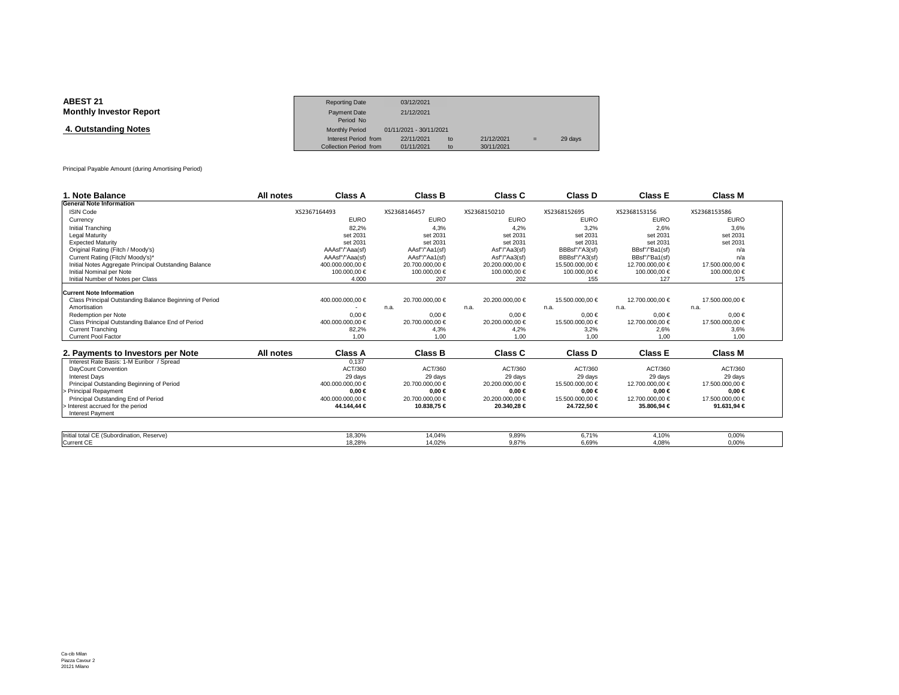| <b>ABEST 21</b>                | <b>Reporting Date</b>  | 03/12/2021              |    |            |     |         |
|--------------------------------|------------------------|-------------------------|----|------------|-----|---------|
| <b>Monthly Investor Report</b> | Payment Date           | 21/12/2021              |    |            |     |         |
|                                | Period No              |                         |    |            |     |         |
| 4. Outstanding Notes           | <b>Monthly Period</b>  | 01/11/2021 - 30/11/2021 |    |            |     |         |
|                                | Interest Period from   | 22/11/2021              | to | 21/12/2021 | $=$ | 29 days |
|                                | Collection Period from | 01/11/2021              | to | 30/11/2021 |     |         |

Principal Payable Amount (during Amortising Period)

| 1. Note Balance                                         | All notes | Class A          | <b>Class B</b>  | Class C         | Class D         | <b>Class E</b>  | <b>Class M</b>  |
|---------------------------------------------------------|-----------|------------------|-----------------|-----------------|-----------------|-----------------|-----------------|
| <b>General Note Information</b>                         |           |                  |                 |                 |                 |                 |                 |
| <b>ISIN Code</b>                                        |           | XS2367164493     | XS2368146457    | XS2368150210    | XS2368152695    | XS2368153156    | XS2368153586    |
| Currency                                                |           | <b>EURO</b>      | <b>EURO</b>     | <b>EURO</b>     | <b>EURO</b>     | <b>EURO</b>     | <b>EURO</b>     |
| Initial Tranching                                       |           | 82.2%            | 4.3%            | 4.2%            | 3.2%            | 2.6%            | 3.6%            |
| <b>Legal Maturity</b>                                   |           | set 2031         | set 2031        | set 2031        | set 2031        | set 2031        | set 2031        |
| <b>Expected Maturity</b>                                |           | set 2031         | set 2031        | set 2031        | set 2031        | set 2031        | set 2031        |
| Original Rating (Fitch / Moody's)                       |           | AAAsf"/"Aaa(sf)  | AAsf"/"Aa1(sf)  | Asf"/"Aa3(sf)   | BBBsf"/"A3(sf)  | BBsf"/"Ba1(sf)  | n/a             |
| Current Rating (Fitch/ Moody's)*                        |           | AAAsf"/"Aaa(sf)  | AAsf"/"Aa1(sf)  | Asf"/"Aa3(sf)   | BBBsf"/"A3(sf)  | BBsf"/"Ba1(sf)  | n/a             |
| Initial Notes Aggregate Principal Outstanding Balance   |           | 400.000.000.00 € | 20.700.000.00 € | 20,200,000,00 € | 15.500.000.00 € | 12.700.000.00 € | 17.500.000,00 € |
| Initial Nominal per Note                                |           | 100.000.00 €     | 100.000.00 €    | 100.000.00 €    | 100.000,00 €    | 100000,00 €     | 100.000,00 €    |
| Initial Number of Notes per Class                       |           | 4.000            | 207             | 202             | 155             | 127             | 175             |
| <b>Current Note Information</b>                         |           |                  |                 |                 |                 |                 |                 |
| Class Principal Outstanding Balance Beginning of Period |           | 400.000.000,00 € | 20.700.000.00 € | 20.200.000.00 € | 15.500.000.00 € | 12.700.000.00 € | 17.500.000.00 € |
| Amortisation                                            |           |                  | n.a.            | n.a.            | n.a.            | n.a.            | n.a.            |
| Redemption per Note                                     |           | $0.00 \in$       | $0.00 \in$      | $0.00 \in$      | $0.00 \in$      | $0.00 \in$      | $0.00 \in$      |
| Class Principal Outstanding Balance End of Period       |           | 400.000.000,00 € | 20.700.000,00 € | 20.200.000,00 € | 15.500.000,00 € | 12.700.000,00 € | 17.500.000,00 € |
| <b>Current Tranching</b>                                |           | 82,2%            | 4,3%            | 4,2%            | 3,2%            | 2,6%            | 3,6%            |
| <b>Current Pool Factor</b>                              |           | 1.00             | 1.00            | 1.00            | 1.00            | 1.00            | 1.00            |
|                                                         |           |                  |                 |                 |                 |                 |                 |
| 2. Payments to Investors per Note                       | All notes | <b>Class A</b>   | <b>Class B</b>  | Class C         | Class D         | <b>Class E</b>  | Class M         |
| Interest Rate Basis: 1-M Euribor / Spread               |           | 0.137            |                 |                 |                 |                 |                 |
| DavCount Convention                                     |           | ACT/360          | ACT/360         | ACT/360         | ACT/360         | ACT/360         | ACT/360         |
| <b>Interest Davs</b>                                    |           | 29 days          | 29 days         | 29 days         | 29 days         | 29 days         | 29 days         |
| Principal Outstanding Beginning of Period               |           | 400.000.000.00 € | 20.700.000,00 € | 20.200.000.00 € | 15.500.000.00 € | 12.700.000.00 € | 17.500.000.00 € |
| Principal Repayment                                     |           | $0.00 \in$       | $0.00 \in$      | $0.00 \in$      | $0.00 \in$      | $0.00 \in$      | $0.00 \in$      |
| Principal Outstanding End of Period                     |           | 400.000.000.00 € | 20.700.000.00 € | 20.200.000.00 € | 15.500.000.00 € | 12.700.000.00 € | 17.500.000.00 € |
| - Interest accrued for the period                       |           | 44.144,44 €      | 10.838,75 €     | 20.340,28 €     | 24.722,50 €     | 35.8004 €       | 91.631,94 €     |
| <b>Interest Payment</b>                                 |           |                  |                 |                 |                 |                 |                 |
|                                                         |           |                  |                 |                 |                 |                 |                 |
| Initial total CE (Subordination, Reserve)               |           | 18.30%           | 14.04%          | 9.89%           | 6.71%           | 4.10%           | 0.00%           |
| <b>Current CE</b>                                       |           | 18.28%           | 14.02%          | 9.87%           | 6.69%           | 4.08%           | 0.00%           |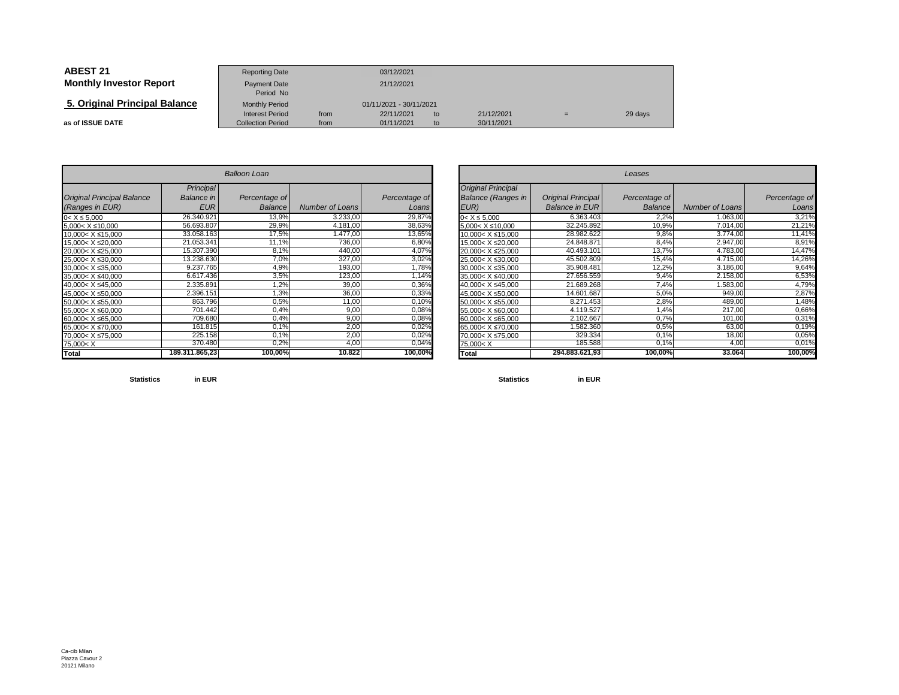| <b>ABEST 21</b>                | <b>Reporting Date</b>                              |              | 03/12/2021               |          |                          |  |         |
|--------------------------------|----------------------------------------------------|--------------|--------------------------|----------|--------------------------|--|---------|
| <b>Monthly Investor Report</b> | Payment Date<br>Period No                          | 21/12/2021   |                          |          |                          |  |         |
| 5. Original Principal Balance  | <b>Monthly Period</b>                              |              | 01/11/2021 - 30/11/2021  |          |                          |  |         |
| as of ISSUE DATE               | <b>Interest Period</b><br><b>Collection Period</b> | from<br>from | 22/11/2021<br>01/11/2021 | to<br>to | 21/12/2021<br>30/11/2021 |  | 29 days |

| <b>Balloon Loan</b>                                                            |                |               |                        |               |  |  |  |  |  |  |
|--------------------------------------------------------------------------------|----------------|---------------|------------------------|---------------|--|--|--|--|--|--|
|                                                                                | Principal      |               |                        |               |  |  |  |  |  |  |
| <b>Original Principal Balance</b>                                              | Balance in     | Percentage of |                        | Percentage of |  |  |  |  |  |  |
| (Ranges in EUR)                                                                | <b>EUR</b>     | Balance       | <b>Number of Loans</b> | Loans         |  |  |  |  |  |  |
| $0 < X \le 5,000$                                                              | 26.340.921     | 13,9%         | 3.233,00               | 29,87%        |  |  |  |  |  |  |
| $5.000 < X \le 10.000$                                                         | 56.693.807     | 29,9%         | 4.181,00               | 38,63%        |  |  |  |  |  |  |
| 10,000< X ≤15,000                                                              | 33.058.163     | 17,5%         | 1.477,00               | 13,65%        |  |  |  |  |  |  |
| 15.000< X ≤20.000                                                              | 21.053.341     | 11,1%         | 736,00                 | 6,80%         |  |  |  |  |  |  |
| 20,000< X ≤25,000                                                              | 15.307.390     | 8,1%          | 440,00                 | 4,07%         |  |  |  |  |  |  |
| 25.000< X ≤30.000                                                              | 13.238.630     | 7,0%          | 327,00                 | 3,02%         |  |  |  |  |  |  |
| 30.000< X ≤35.000                                                              | 9.237.765      | 4,9%          | 193,00                 | 1,78%         |  |  |  |  |  |  |
| 35.000< X ≤40.000                                                              | 6.617.436      | 3,5%          | 123,00                 | 1,14%         |  |  |  |  |  |  |
| 40.000< X ≤45.000                                                              | 2.335.891      | 1,2%          | 39,00                  | 0,36%         |  |  |  |  |  |  |
| 45.000< X ≤50.000                                                              | 2.396.151      | 1,3%          | 36,00                  | 0,33%         |  |  |  |  |  |  |
| 50,000< X ≤55,000                                                              | 863.796        | 0,5%          | 11,00                  | 0,10%         |  |  |  |  |  |  |
| 55,000< X ≤60,000                                                              | 701.442        | 0,4%          | 9,00                   | 0,08%         |  |  |  |  |  |  |
| 60,000< X ≤65,000                                                              | 709.680        | 0,4%          | 9,00                   | 0,08%         |  |  |  |  |  |  |
| 65,000< X ≤70,000                                                              | 161.815        | 0,1%          | 2,00                   | 0,02%         |  |  |  |  |  |  |
| 70,000< X ≤75,000                                                              | 225.158        | 0.1%          | 2,00                   | 0,02%         |  |  |  |  |  |  |
| 75,000 <x< td=""><td>370.480</td><td>0,2%</td><td>4,00</td><td>0,04%</td></x<> | 370.480        | 0,2%          | 4,00                   | 0,04%         |  |  |  |  |  |  |
| Total                                                                          | 189.311.865,23 | 100,00%       | 10.822                 | 100,00%       |  |  |  |  |  |  |

|                          | <b>Balloon Loan</b> |                |                 | Leases        |                                                                                |                           |               |                        |               |
|--------------------------|---------------------|----------------|-----------------|---------------|--------------------------------------------------------------------------------|---------------------------|---------------|------------------------|---------------|
|                          | Principal           |                |                 |               | <b>Original Principal</b>                                                      |                           |               |                        |               |
| <b>Principal Balance</b> | Balance in          | Percentage of  |                 | Percentage of | <b>Balance (Ranges in</b>                                                      | <b>Original Principal</b> | Percentage of |                        | Percentage of |
| s in EUR)                | <b>EUR</b>          | <b>Balance</b> | Number of Loans | Loans         | EUR)                                                                           | <b>Balance in EUR</b>     | Balance       | <b>Number of Loans</b> | Loans         |
| 000                      | 26.340.921          | 13,9%          | 3.233,00        | 29,87%        | $0 < X \leq 5.000$                                                             | 6.363.403                 | 2,2%          | 1.063,00               | 3,21%         |
| ≤10,000                  | 56.693.807          | 29,9%          | 4.181,00        | 38,63%        | $5,000 < X \leq 10,000$                                                        | 32.245.892                | 10,9%         | 7.014,00               | 21,21%        |
| X ≤15,000                | 33.058.163          | 17,5%          | 1.477.00        | 13,65%        | 10.000< X ≤15,000                                                              | 28.982.622                | 9,8%          | 3.774,00               | 11,41%        |
| X ≤20,000                | 21.053.341          | 11,1%          | 736,00          | 6,80%         | 15,000< X ≤20,000                                                              | 24.848.871                | 8,4%          | 2.947,00               | 8,91%         |
| X ≤25,000                | 15.307.390          | 8,1%           | 440,00          | 4,07%         | 20,000< X ≤25,000                                                              | 40.493.101                | 13,7%         | 4.783,00               | 14,47%        |
| $X \le 30,000$           | 13.238.630          | 7,0%           | 327,00          | 3,02%         | 25,000< X ≤30,000                                                              | 45.502.809                | 15,4%         | 4.715,00               | 14,26%        |
| X ≤35,000                | 9.237.765           | 4,9%           | 193,00          | 1,78%         | $30,000 < X \leq 35,000$                                                       | 35.908.481                | 12,2%         | 3.186,00               | 9,64%         |
| $X \le 40,000$           | 6.617.436           | 3,5%           | 123,00          | 1,14%         | 35,000< X ≤40,000                                                              | 27.656.559                | 9,4%          | 2.158,00               | 6,53%         |
| X ≤45,000                | 2.335.891           | 1,2%           | 39,00           | 0,36%         | 40.000< X ≤45.000                                                              | 21.689.268                | 7,4%          | 1.583,00               | 4,79%         |
| $X \le 50,000$           | 2.396.151           | 1,3%           | 36,00           | 0,33%         | 45,000< X ≤50,000                                                              | 14.601.687                | 5,0%          | 949,00                 | 2,87%         |
| X ≤55,000                | 863.796             | 0,5%           | 11,00           | 0,10%         | 50,000< X ≤55,000                                                              | 8.271.453                 | 2,8%          | 489,00                 | 1,48%         |
| $X \le 60,000$           | 701.442             | 0,4%           | 9,00            | 0,08%         | 55,000< X ≤60,000                                                              | 4.119.527                 | 1,4%          | 217,00                 | 0,66%         |
| X ≤65,000                | 709.680             | 0,4%           | 9,00            | 0,08%         | 60,000< X ≤65,000                                                              | 2.102.667                 | 0,7%          | 101,00                 | 0,31%         |
| X ≤70,000                | 161.815             | 0.1%           | 2,00            | 0,02%         | 65.000< X ≤70.000                                                              | 1.582.360                 | 0.5%          | 63,00                  | 0,19%         |
| X ≤75,000                | 225.158             | 0,1%           | 2,00            | 0,02%         | 70,000< X ≤75,000                                                              | 329.334                   | 0,1%          | 18,00                  | 0,05%         |
|                          | 370.480             | 0,2%           | 4,00            | 0,04%         | 75,000 <x< td=""><td>185.588</td><td>0,1%</td><td>4,00</td><td>0,01%</td></x<> | 185.588                   | 0,1%          | 4,00                   | 0,01%         |
|                          | 189.311.865,23      | 100,00%        | 10.822          | 100,00%       | Total                                                                          | 294.883.621.93            | 100,00%       | 33.064                 | 100,00%       |

**Statistics**

**in EUR**

**Statistics in EUR**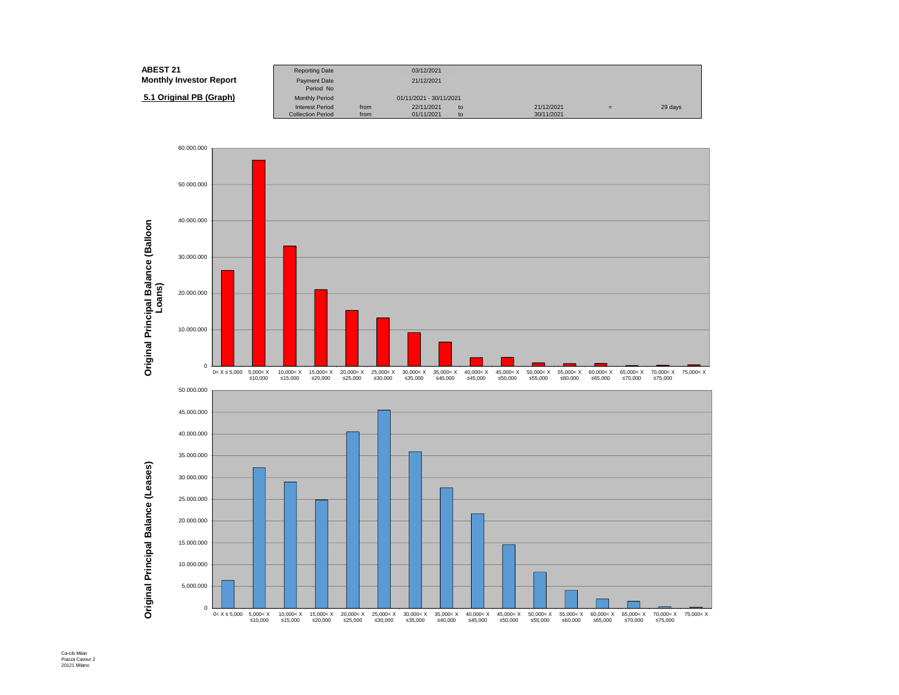| ABEST 21                       | <b>Reporting Date</b>     |      | 03/12/2021              |    |            |     |         |
|--------------------------------|---------------------------|------|-------------------------|----|------------|-----|---------|
| <b>Monthly Investor Report</b> | Payment Date<br>Period No |      | 21/12/2021              |    |            |     |         |
| 5.1 Original PB (Graph)        | <b>Monthly Period</b>     |      | 01/11/2021 - 30/11/2021 |    |            |     |         |
|                                | <b>Interest Period</b>    | from | 22/11/2021              | to | 21/12/2021 | $=$ | 29 days |
|                                | <b>Collection Period</b>  | from | 01/11/2021              | to | 30/11/2021 |     |         |

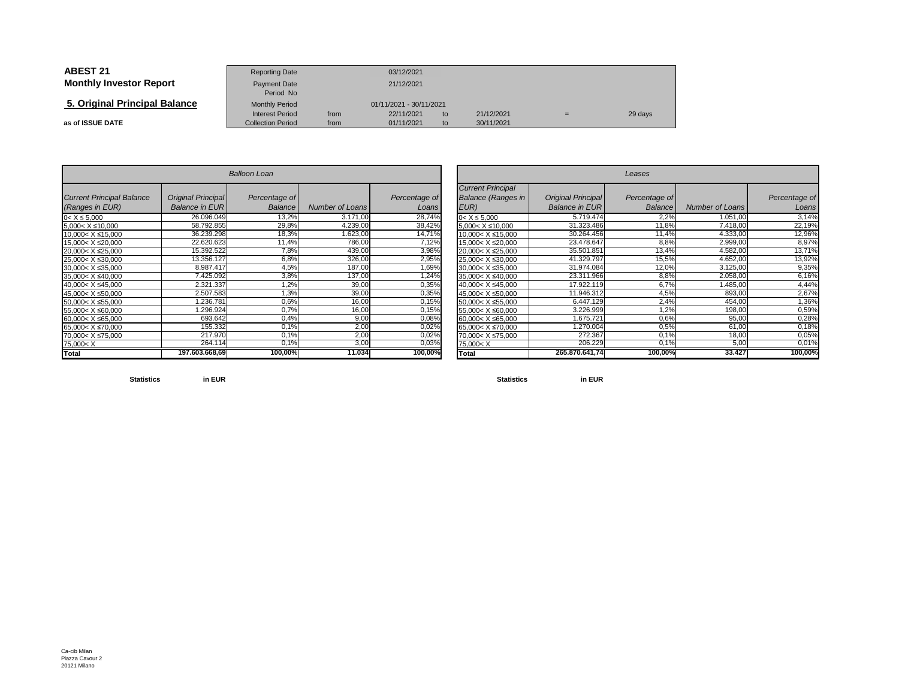| <b>ABEST 21</b>                | <b>Reporting Date</b>                              |                         | 03/12/2021               |          |                          |     |         |
|--------------------------------|----------------------------------------------------|-------------------------|--------------------------|----------|--------------------------|-----|---------|
| <b>Monthly Investor Report</b> | <b>Payment Date</b><br>Period No                   |                         | 21/12/2021               |          |                          |     |         |
| 5. Original Principal Balance  | <b>Monthly Period</b>                              | 01/11/2021 - 30/11/2021 |                          |          |                          |     |         |
| as of ISSUE DATE               | <b>Interest Period</b><br><b>Collection Period</b> | from<br>from            | 22/11/2021<br>01/11/2021 | to<br>to | 21/12/2021<br>30/11/2021 | $=$ | 29 days |

| <b>Balloon Loan</b>                                                                          |                                                    |                                 |                 |                        |  |  |  |  |  |
|----------------------------------------------------------------------------------------------|----------------------------------------------------|---------------------------------|-----------------|------------------------|--|--|--|--|--|
| <b>Current Principal Balance</b><br>(Ranges in EUR)                                          | <b>Original Principal</b><br><b>Balance in EUR</b> | Percentage of<br><b>Balance</b> | Number of Loans | Percentage of<br>Loans |  |  |  |  |  |
| $0 < X \le 5,000$                                                                            | 26.096.049                                         | 13,2%                           | 3.171,00        | 28,74%                 |  |  |  |  |  |
| $5.000 < X \le 10.000$                                                                       | 58.792.855                                         | 29,8%                           | 4.239,00        | 38,42%                 |  |  |  |  |  |
| $10.000 < X \leq 15.000$                                                                     | 36.239.298                                         | 18,3%                           | 1.623,00        | 14,71%                 |  |  |  |  |  |
| 15.000< X ≤20.000                                                                            | 22.620.623                                         | 11,4%                           | 786,00          | 7,12%                  |  |  |  |  |  |
| 20,000< X ≤25,000                                                                            | 15.392.522                                         | 7,8%                            | 439,00          | 3,98%                  |  |  |  |  |  |
| 25.000< X ≤30.000                                                                            | 13.356.127                                         | 6,8%                            | 326,00          | 2,95%                  |  |  |  |  |  |
| $30.000 < X \leq 35.000$                                                                     | 8.987.417                                          | 4,5%                            | 187,00          | 1,69%                  |  |  |  |  |  |
| 35.000< X ≤40.000                                                                            | 7.425.092                                          | 3,8%                            | 137,00          | 1,24%                  |  |  |  |  |  |
| 40.000< X ≤45.000                                                                            | 2.321.337                                          | 1,2%                            | 39,00           | 0,35%                  |  |  |  |  |  |
| 45,000< X ≤50,000                                                                            | 2.507.583                                          | 1,3%                            | 39,00           | 0,35%                  |  |  |  |  |  |
| 50.000< X ≤55.000                                                                            | 1.236.781                                          | 0.6%                            | 16,00           | 0,15%                  |  |  |  |  |  |
| 55,000< X ≤60,000                                                                            | 1.296.924                                          | 0,7%                            | 16,00           | 0,15%                  |  |  |  |  |  |
| 60.000< X ≤65.000                                                                            | 693.642                                            | 0.4%                            | 9,00            | 0,08%                  |  |  |  |  |  |
| 65.000< X ≤70.000                                                                            | 155.332                                            | 0.1%                            | 2,00            | 0,02%                  |  |  |  |  |  |
| 70,000< X ≤75,000                                                                            | 217.970                                            | 0.1%                            | 2.00            | 0,02%                  |  |  |  |  |  |
| 75,000 <x< td=""><td>264.114</td><td><math>0.1\%</math></td><td>3,00</td><td>0,03%</td></x<> | 264.114                                            | $0.1\%$                         | 3,00            | 0,03%                  |  |  |  |  |  |
| Total                                                                                        | 197.603.668.69                                     | 100,00%                         | 11.034          | 100,00%                |  |  |  |  |  |

|                          |                           | <b>Balloon Loan</b> |                 |               |                                                                                |                           | Leases         |                        |               |  |  |  |  |  |
|--------------------------|---------------------------|---------------------|-----------------|---------------|--------------------------------------------------------------------------------|---------------------------|----------------|------------------------|---------------|--|--|--|--|--|
| <b>Principal Balance</b> | <b>Original Principal</b> | Percentage of       |                 | Percentage of | <b>Current Principal</b><br><b>Balance (Ranges in</b>                          | <b>Original Principal</b> | Percentage of  |                        | Percentage of |  |  |  |  |  |
| s in EUR)                | <b>Balance in EURI</b>    | Balance             | Number of Loans | Loans         | EUR)                                                                           | <b>Balance in EUR</b>     | <b>Balance</b> | <b>Number of Loans</b> | Loans         |  |  |  |  |  |
| 000                      | 26.096.049                | 13,2%               | 3.171,00        | 28,74%        | $0 < X \le 5.000$                                                              | 5.719.474                 | 2,2%           | 1.051,00               | 3,14%         |  |  |  |  |  |
| ≤10,000                  | 58.792.855                | 29,8%               | 4.239,00        | 38,42%        | $5,000 < X \le 10,000$                                                         | 31.323.486                | 11,8%          | 7.418,00               | 22,19%        |  |  |  |  |  |
| X ≤15,000                | 36.239.298                | 18,3%               | 1.623,00        | 14,71%        | 10.000< X ≤15.000                                                              | 30.264.456                | 11,4%          | 4.333,00               | 12,96%        |  |  |  |  |  |
| X ≤20,000                | 22.620.623                | 11,4%               | 786,00          | 7,12%         | 15.000< X ≤20.000                                                              | 23.478.647                | 8,8%           | 2.999,00               | 8,97%         |  |  |  |  |  |
| X ≤25,000                | 15.392.522                | 7,8%                | 439,00          | 3,98%         | 20,000< X ≤25,000                                                              | 35.501.851                | 13,4%          | 4.582,00               | 13,71%        |  |  |  |  |  |
| $X \le 30,000$           | 13.356.127                | 6,8%                | 326,00          | 2,95%         | 25,000< X ≤30,000                                                              | 41.329.797                | 15,5%          | 4.652,00               | 13,92%        |  |  |  |  |  |
| X ≤35,000                | 8.987.417                 | 4,5%                | 187,00          | 1,69%         | 30,000< X ≤35,000                                                              | 31.974.084                | 12,0%          | 3.125,00               | 9,35%         |  |  |  |  |  |
| $X \le 40,000$           | 7.425.092                 | 3,8%                | 137,00          | 1,24%         | 35,000< X ≤40,000                                                              | 23.311.966                | 8,8%           | 2.058,00               | 6,16%         |  |  |  |  |  |
| X ≤45,000                | 2.321.337                 | 1,2%                | 39,00           | 0,35%         | 40,000< X ≤45,000                                                              | 17.922.119                | 6,7%           | 1.485,00               | 4,44%         |  |  |  |  |  |
| X ≤50,000                | 2.507.583                 | 1,3%                | 39,00           | 0,35%         | 45,000< X ≤50,000                                                              | 11.946.312                | 4,5%           | 893,00                 | 2,67%         |  |  |  |  |  |
| X ≤55,000                | 1.236.781                 | 0,6%                | 16,00           | 0,15%         | 50,000< X ≤55,000                                                              | 6.447.129                 | 2,4%           | 454,00                 | 1,36%         |  |  |  |  |  |
| $X \le 60,000$           | .296.924                  | 0.7%                | 16,00           | 0,15%         | 55,000< X ≤60,000                                                              | 3.226.999                 | 1,2%           | 198,00                 | 0,59%         |  |  |  |  |  |
| X ≤65,000                | 693.642                   | 0,4%                | 9,00            | 0,08%         | 60,000< X ≤65,000                                                              | 1.675.721                 | 0,6%           | 95,00                  | 0,28%         |  |  |  |  |  |
| X ≤70,000                | 155.332                   | 0,1%                | 2,00            | 0,02%         | 65,000< X ≤70,000                                                              | 1.270.004                 | 0.5%           | 61,00                  | 0,18%         |  |  |  |  |  |
| X ≤75,000                | 217.970                   | 0,1%                | 2,00            | 0,02%         | 70,000< X ≤75,000                                                              | 272.367                   | 0.1%           | 18,00                  | 0,05%         |  |  |  |  |  |
|                          | 264.114                   | 0,1%                | 3,00            | 0,03%         | 75,000 <x< td=""><td>206.229</td><td>0,1%</td><td>5,00</td><td>0,01%</td></x<> | 206.229                   | 0,1%           | 5,00                   | 0,01%         |  |  |  |  |  |
|                          | 197.603.668.69            | 100,00%             | 11.034          | 100,00%       | <b>Total</b>                                                                   | 265.870.641.74            | 100,00%        | 33.427                 | 100,00%       |  |  |  |  |  |

**Statistics**

**in EUR**

**Statistics in EUR**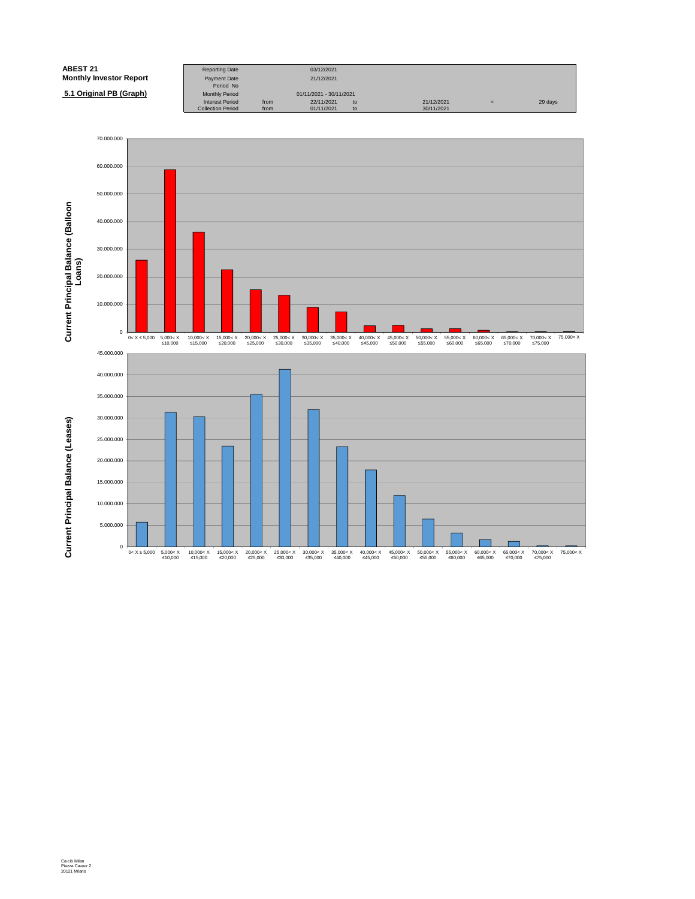| <b>ABEST 21</b>                | <b>Reporting Date</b>            |      | 03/12/2021              |    |            |   |         |
|--------------------------------|----------------------------------|------|-------------------------|----|------------|---|---------|
| <b>Monthly Investor Report</b> | <b>Payment Date</b><br>Period No |      | 21/12/2021              |    |            |   |         |
| 5.1 Original PB (Graph)        | <b>Monthly Period</b>            |      | 01/11/2021 - 30/11/2021 |    |            |   |         |
|                                | <b>Interest Period</b>           | from | 22/11/2021              | to | 21/12/2021 | = | 29 days |
|                                | <b>Collection Period</b>         | from | 01/11/2021              | to | 30/11/2021 |   |         |

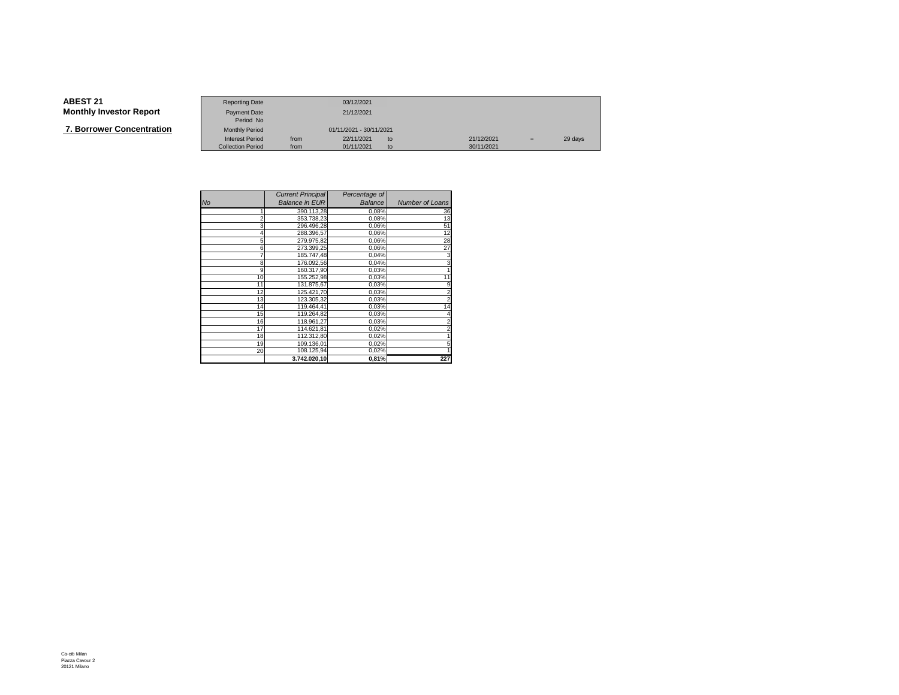**7. Borrower Concentration**

|                   | <b>Reporting Date</b>     |      | 03/12/2021              |               |            |     |         |
|-------------------|---------------------------|------|-------------------------|---------------|------------|-----|---------|
| Investor Report   | Payment Date<br>Period No |      | 21/12/2021              |               |            |     |         |
|                   |                           |      |                         |               |            |     |         |
| wer Concentration | <b>Monthly Period</b>     |      | 01/11/2021 - 30/11/2021 |               |            |     |         |
|                   | <b>Interest Period</b>    | from | 22/11/2021              | $\mathsf{to}$ | 21/12/2021 | $=$ | 29 days |
|                   | <b>Collection Period</b>  | from | 01/11/2021              | to            | 30/11/2021 |     |         |

|                | <b>Current Principal</b> | Percentage of |                 |
|----------------|--------------------------|---------------|-----------------|
| <b>No</b>      | <b>Balance in EUR</b>    | Balance       | Number of Loans |
|                | 390.113,28               | 0,08%         | 36              |
| $\overline{2}$ | 353.738,23               | 0,08%         | 13              |
| 3              | 296.496,28               | 0,06%         | 51              |
| 4              | 288.396,57               | 0,06%         | 12              |
| 5              | 279.975,82               | 0,06%         | 28              |
| 6              | 273.399,25               | 0,06%         | 27              |
|                | 185.747,48               | 0,04%         | 3               |
| 8              | 176.092,56               | 0,04%         | 3               |
| 9              | 160.317,90               | 0,03%         |                 |
| 10             | 155.252,98               | 0,03%         | 11              |
| 11             | 131.875,67               | 0,03%         | 9               |
| 12             | 125.421,70               | 0,03%         |                 |
| 13             | 123.305.32               | 0,03%         |                 |
| 14             | 119.464.41               | 0,03%         | 14              |
| 15             | 119.264,82               | 0,03%         |                 |
| 16             | 118.961,27               | 0,03%         | $\overline{2}$  |
| 17             | 114.621,81               | 0,02%         |                 |
| 18             | 112.312.80               | 0,02%         |                 |
| 19             | 109.136,01               | 0,02%         |                 |
| 20             | 108.125,94               | 0,02%         |                 |
|                | 3.742.020,10             | 0,81%         | 227             |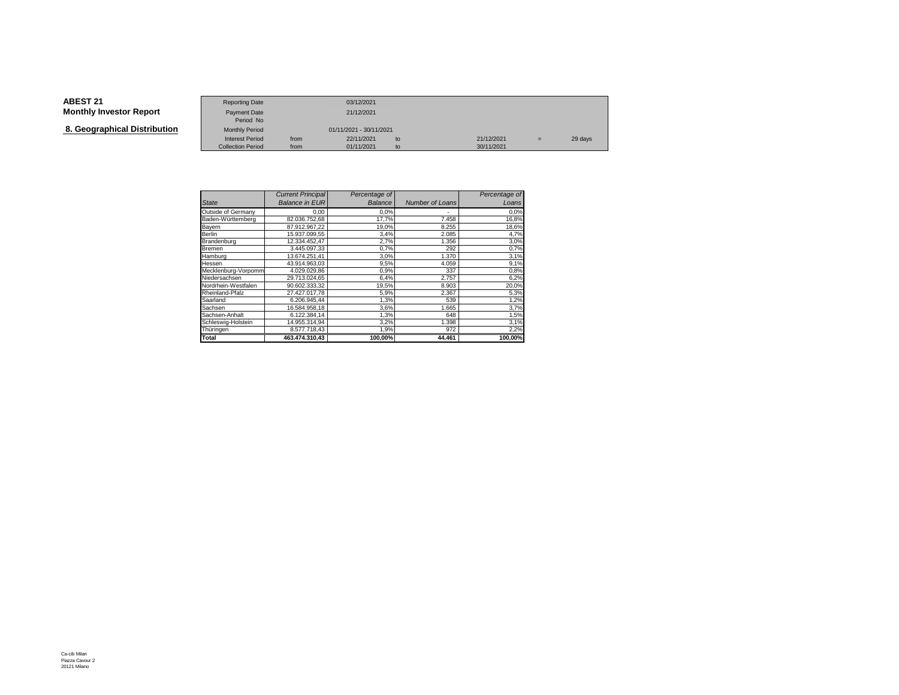**8. Geographical Distribution**

|                                   | <b>Reporting Date</b>     |      | 03/12/2021              |    |            |     |         |
|-----------------------------------|---------------------------|------|-------------------------|----|------------|-----|---------|
| Investor Report                   | Payment Date<br>Period No |      | 21/12/2021              |    |            |     |         |
| aphical Distribution <sup>.</sup> | <b>Monthly Period</b>     |      | 01/11/2021 - 30/11/2021 |    |            |     |         |
|                                   | <b>Interest Period</b>    | from | 22/11/2021              | to | 21/12/2021 | $=$ | 29 days |
|                                   | <b>Collection Period</b>  | from | 01/11/2021              | to | 30/11/2021 |     |         |

|                     | <b>Current Principal</b> | Percentage of  |                 | Percentage of |
|---------------------|--------------------------|----------------|-----------------|---------------|
| <b>State</b>        | <b>Balance in EUR</b>    | <b>Balance</b> | Number of Loans | Loans         |
| Outside of Germany  | 0,00                     | 0.0%           | ٠               | 0.0%          |
| Baden-Württemberg   | 82.036.752.68            | 17.7%          | 7.458           | 16,8%         |
| Bayern              | 87.912.967.22            | 19,0%          | 8.255           | 18,6%         |
| Berlin              | 15.937.099.55            | 3,4%           | 2.085           | 4,7%          |
| Brandenburg         | 12.334.452,47            | 2,7%           | 1.356           | 3,0%          |
| Bremen              | 3.445.097.33             | 0.7%           | 292             | 0,7%          |
| Hamburg             | 13.674.251.41            | 3,0%           | 1.370           | 3,1%          |
| Hessen              | 43.914.963.03            | 9,5%           | 4.059           | 9,1%          |
| Mecklenburg-Vorpomm | 4.029.029.86             | 0,9%           | 337             | 0,8%          |
| Niedersachsen       | 29.713.024,65            | 6,4%           | 2.757           | 6,2%          |
| Nordrhein-Westfalen | 90.602.333,32            | 19,5%          | 8.903           | 20,0%         |
| Rheinland-Pfalz     | 27.427.017,78            | 5,9%           | 2.367           | 5,3%          |
| Saarland            | 6.206.945,44             | 1,3%           | 539             | 1,2%          |
| Sachsen             | 16.584.958.18            | 3,6%           | 1.665           | 3,7%          |
| Sachsen-Anhalt      | 6.122.384,14             | 1,3%           | 648             | 1,5%          |
| Schleswig-Holstein  | 14.955.314,94            | 3,2%           | 1.398           | 3,1%          |
| Thüringen           | 8.577.718,43             | 1,9%           | 972             | 2,2%          |
| Total               | 463.474.310.43           | 100,00%        | 44.461          | 100.00%       |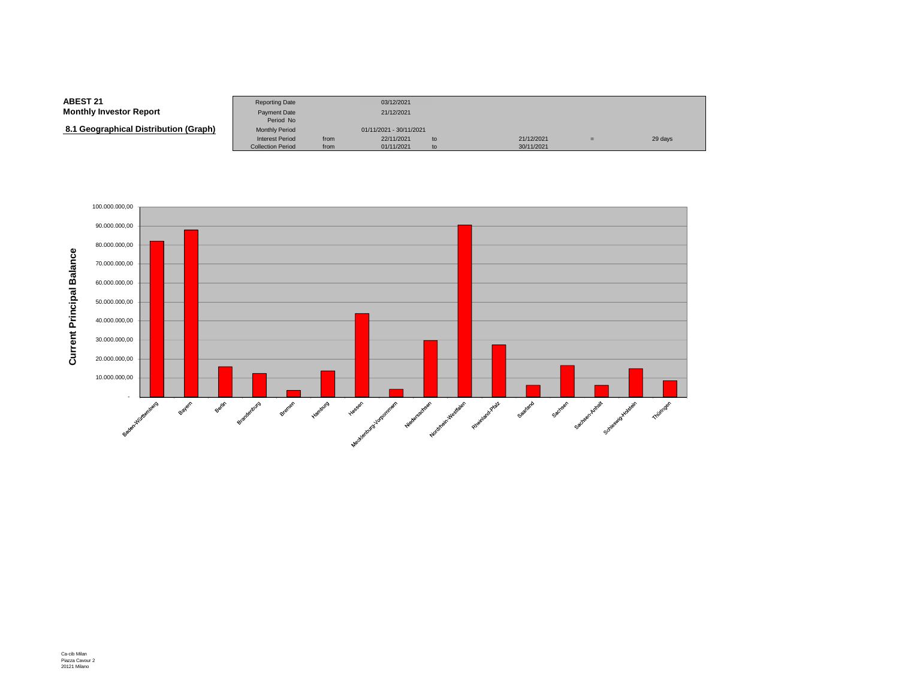| <b>ABEST 21</b>                       | <b>Reporting Date</b>                              |              | 03/12/2021               |          |                          |     |         |
|---------------------------------------|----------------------------------------------------|--------------|--------------------------|----------|--------------------------|-----|---------|
| <b>Monthly Investor Report</b>        | <b>Payment Date</b><br>Period No                   |              | 21/12/2021               |          |                          |     |         |
| 8.1 Geographical Distribution (Graph) | <b>Monthly Period</b>                              |              | 01/11/2021 - 30/11/2021  |          |                          |     |         |
|                                       | <b>Interest Period</b><br><b>Collection Period</b> | from<br>from | 22/11/2021<br>01/11/2021 | to<br>to | 21/12/2021<br>30/11/2021 | $=$ | 29 days |

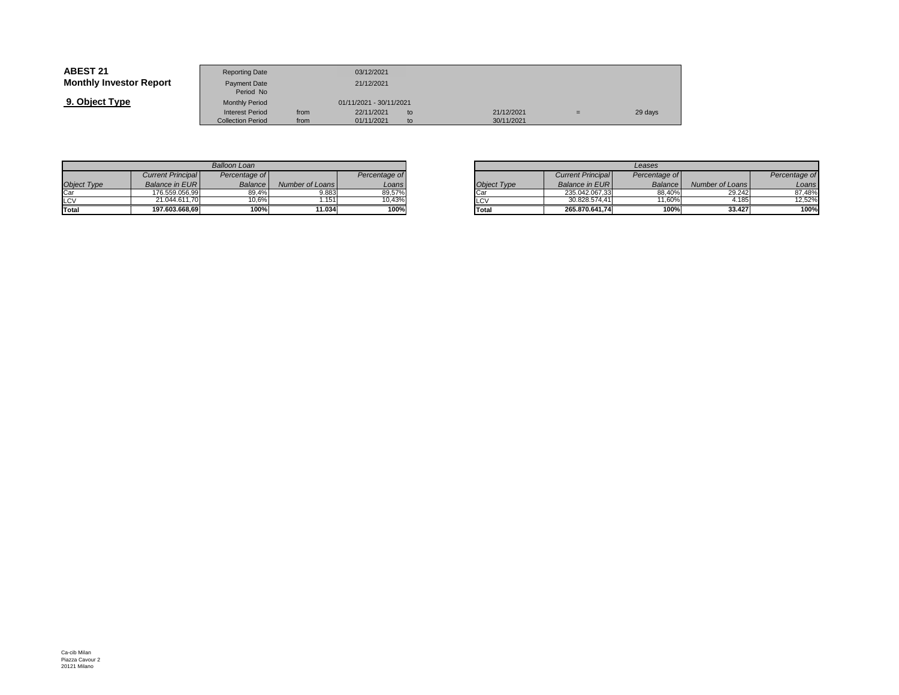| <b>ABEST 21</b>                | <b>Reporting Date</b>                              |              | 03/12/2021               |          |                          |     |         |
|--------------------------------|----------------------------------------------------|--------------|--------------------------|----------|--------------------------|-----|---------|
| <b>Monthly Investor Report</b> | Payment Date<br>Period No                          |              | 21/12/2021               |          |                          |     |         |
| 9. Object Type                 | <b>Monthly Period</b>                              |              | 01/11/2021 - 30/11/2021  |          |                          |     |         |
|                                | <b>Interest Period</b><br><b>Collection Period</b> | from<br>from | 22/11/2021<br>01/11/2021 | to<br>to | 21/12/2021<br>30/11/2021 | $=$ | 29 days |

| <b>Balloon Loan</b> |                          |               |                 |               |  |  |  |  |
|---------------------|--------------------------|---------------|-----------------|---------------|--|--|--|--|
|                     | <b>Current Principal</b> | Percentage of |                 | Percentage of |  |  |  |  |
| Object Type         | <b>Balance in EURI</b>   | Balance       | Number of Loans | Loans         |  |  |  |  |
| Car                 | 176.559.056.99           | 89.4%         | 9.883           | 89,57%        |  |  |  |  |
| LCV<br>Total        | 21.044.611.70            | 10.6%         | 1.151           | 10,43%        |  |  |  |  |
|                     | 197.603.668,69           | 100%          | 11.034          | 100%          |  |  |  |  |

|         |                 |               |             |                          | Leases         |                 |
|---------|-----------------|---------------|-------------|--------------------------|----------------|-----------------|
| ae of l |                 | Percentage of |             | <b>Current Principal</b> | Percentage of  |                 |
| ance    | Number of Loans | Loans!        | Object Type | <b>Balance in EURI</b>   | <b>Balance</b> | Number of Loans |
| 39,4%   | 9.883           | 89,57%        | Car         | 235.042.067.33           | 88.40%         | 29.242          |
| 0,6%    | .151            | 10,43%        | <b>LCV</b>  | 30.828.574.41            | 11.60%         | 4.185           |
| 100%    | 11.034          | 100%          | Total       | 265.870.641.74           | 100%           | 33.427          |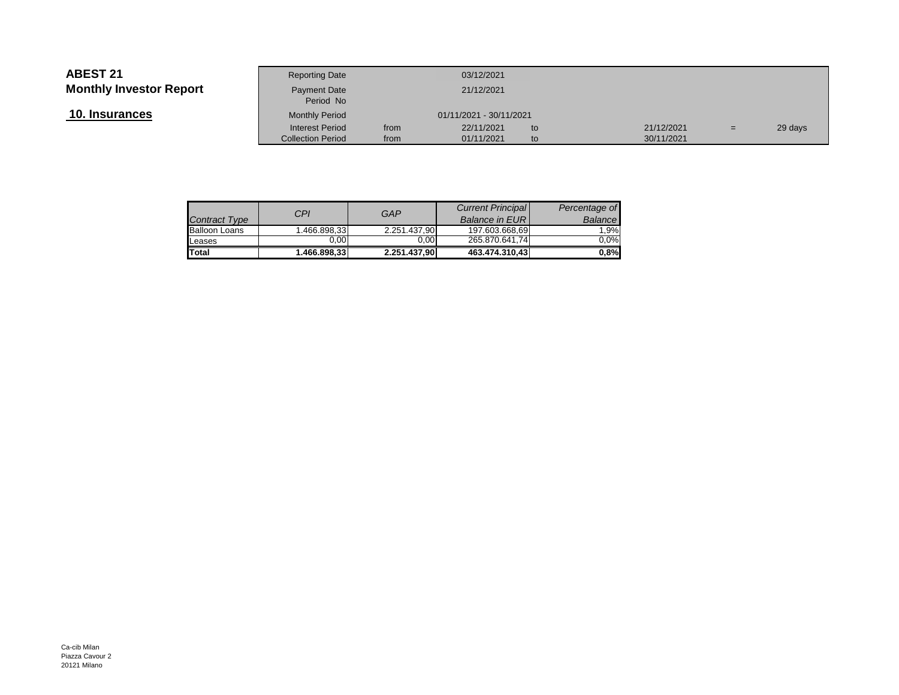п

 **10. Insurances**

|                 | <b>Reporting Date</b>            |      | 03/12/2021              |    |            |     |         |
|-----------------|----------------------------------|------|-------------------------|----|------------|-----|---------|
| Investor Report | <b>Payment Date</b><br>Period No |      | 21/12/2021              |    |            |     |         |
| <u>ances</u>    | <b>Monthly Period</b>            |      | 01/11/2021 - 30/11/2021 |    |            |     |         |
|                 | <b>Interest Period</b>           | from | 22/11/2021              | to | 21/12/2021 | $=$ | 29 days |
|                 | <b>Collection Period</b>         | from | 01/11/2021              | to | 30/11/2021 |     |         |
|                 |                                  |      |                         |    |            |     |         |

| <b>Contract Type</b> | CPI          | GAP          | <b>Current Principal</b><br><b>Balance in EURI</b> | Percentage of<br>Balance |
|----------------------|--------------|--------------|----------------------------------------------------|--------------------------|
| <b>Balloon Loans</b> | 1.466.898,33 | 2.251.437.90 | 197.603.668.69                                     | 1.9%                     |
| Leases               | 0.00         | 0.00         | 265.870.641.74                                     | $0.0\%$                  |
| Total                | 1.466.898.33 | 2.251.437,90 | 463.474.310.43                                     | 0,8%                     |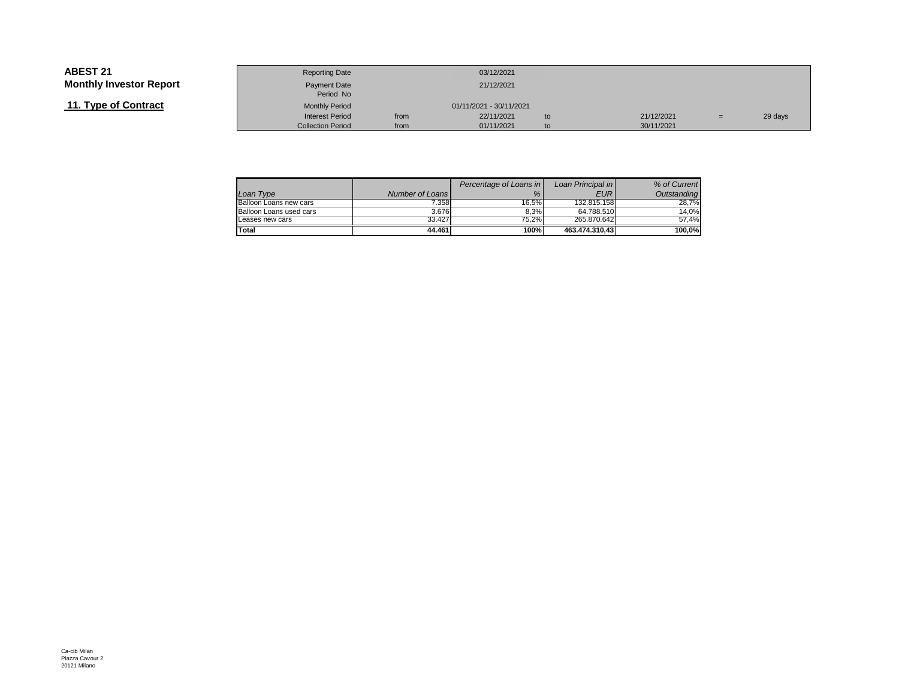## **11. Type of Contract**

|                 | <b>Reporting Date</b>     |      | 03/12/2021              |    |            |     |         |
|-----------------|---------------------------|------|-------------------------|----|------------|-----|---------|
| Investor Report | Payment Date<br>Period No |      | 21/12/2021              |    |            |     |         |
| of Contract     | <b>Monthly Period</b>     |      | 01/11/2021 - 30/11/2021 |    |            |     |         |
|                 | <b>Interest Period</b>    | from | 22/11/2021              | to | 21/12/2021 | $=$ | 29 days |
|                 | <b>Collection Period</b>  | from | 01/11/2021              | to | 30/11/2021 |     |         |

|                         |                 | Percentage of Loans in | Loan Principal in | % of Current |
|-------------------------|-----------------|------------------------|-------------------|--------------|
| Loan Type               | Number of Loans | %                      | <b>EUR</b>        | Outstanding  |
| Balloon Loans new cars  | 7.358           | 16.5%                  | 132.815.158       | 28.7%        |
| Balloon Loans used cars | 3.676           | 8.3%                   | 64.788.510        | 14.0%        |
| Leases new cars         | 33.427          | 75.2%                  | 265.870.642       | 57.4%        |
| Total                   | 44.461          | 100%                   | 463.474.310.43    | 100.0%       |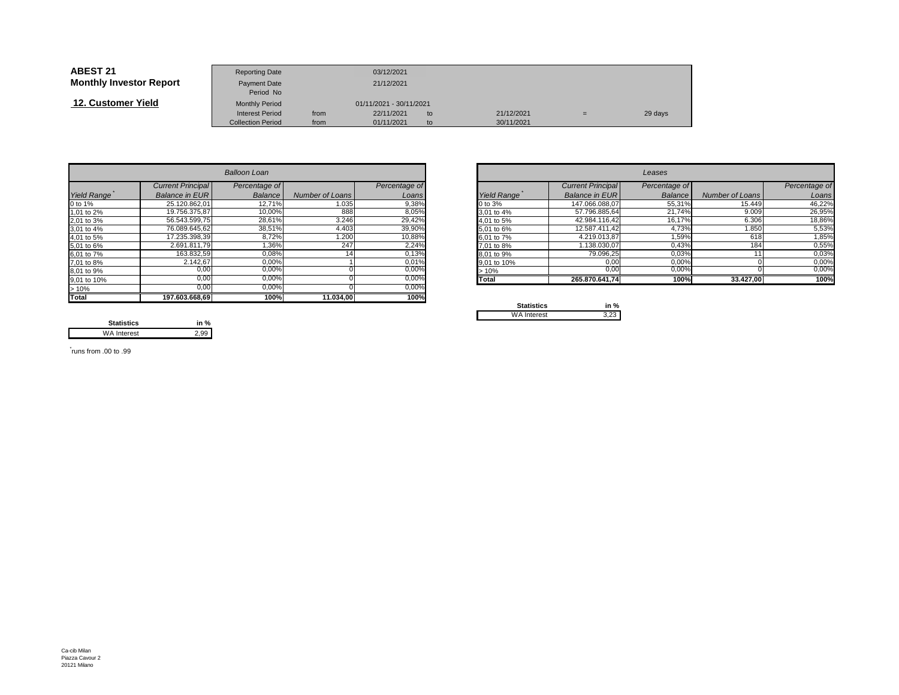| <b>ABEST 21</b>                | <b>Reporting Date</b>     |      | 03/12/2021              |    |            |     |         |
|--------------------------------|---------------------------|------|-------------------------|----|------------|-----|---------|
| <b>Monthly Investor Report</b> | Payment Date<br>Period No |      | 21/12/2021              |    |            |     |         |
| 12. Customer Yield             | <b>Monthly Period</b>     |      | 01/11/2021 - 30/11/2021 |    |            |     |         |
|                                | <b>Interest Period</b>    | from | 22/11/2021              | to | 21/12/2021 | $=$ | 29 days |
|                                | <b>Collection Period</b>  | from | 01/11/2021              | to | 30/11/2021 |     |         |

|                    |                          | <b>Balloon Loan</b> |                 |               | Leases      |                          |               |                 |               |
|--------------------|--------------------------|---------------------|-----------------|---------------|-------------|--------------------------|---------------|-----------------|---------------|
|                    | <b>Current Principal</b> | Percentage of       |                 | Percentage of |             | <b>Current Principal</b> | Percentage of |                 | Percentage of |
| <b>Yield Range</b> | <b>Balance in EURI</b>   | Balance             | Number of Loans | Loans         | Yield Range | <b>Balance in EURI</b>   | Balance       | Number of Loans | Loans         |
| 0 to 1%            | 25.120.862,01            | 12,71%              | 1.035           | 9,38%         | 0 to 3%     | 147.066.088,07           | 55,31%        | 15.449          | 46,22%        |
| 1,01 to 2%         | 19.756.375.87            | 10,00%              | 888             | 8,05%         | 3,01 to 4%  | 57.796.885.64            | 21.74%        | 9.009           | 26,95%        |
| 2,01 to 3%         | 56.543.599,75            | 28,61%              | 3.246           | 29,42%        | 4.01 to 5%  | 42.984.116.42            | 16,17%        | 6.306           | 18,86%        |
| 3,01 to 4%         | 76.089.645.62            | 38,51%              | 4.403           | 39,90%        | 5,01 to 6%  | 12.587.411,42            | 4,73%         | 1.850           | 5,53%         |
| 4,01 to 5%         | 17.235.398,39            | 8,72%               | 1.200           | 10,88%        | 6,01 to 7%  | 4.219.013,87             | 1,59%         | 618             | 1,85%         |
| 5,01 to 6%         | 2.691.811.79             | 1,36%               | 247             | 2,24%         | 7,01 to 8%  | 1.138.030,07             | 0,43%         | 184             | 0,55%         |
| 6,01 to 7%         | 163.832,59               | 0,08%               |                 | 0,13%         | 8,01 to 9%  | 79.096,25                | 0,03%         |                 | 0,03%         |
| 7,01 to 8%         | 2.142,67                 | 0,00%               |                 | 0,01%         | 9,01 to 10% | 0,00                     | 0,00%         |                 | 0,00%         |
| 8,01 to 9%         | 0,00                     | 0,00%               |                 | $0,00\%$      | >10%        | 0,00                     | 0,00%         |                 | 0,00%         |
| 9,01 to 10%        | 0.00                     | 0.00%               |                 | 0,00%         | Total       | 265.870.641,74           | 100%          | 33.427,00       | 100%          |
| >10%               | 0,00                     | 0,00%               |                 | 0,00%         |             |                          |               |                 |               |
| <b>Total</b>       | 197.603.668,69           | 100%                | 11.034,00       | 100%          | Capalonico  | $1 - 0$                  |               |                 |               |

|       |                       | <b>Balloon Loan</b> |                 |               |             |                          | Leases         |                 |               |
|-------|-----------------------|---------------------|-----------------|---------------|-------------|--------------------------|----------------|-----------------|---------------|
|       | Current Principal     | Percentage of       |                 | Percentage of |             | <b>Current Principal</b> | Percentage of  |                 | Percentage of |
| Range | <b>Balance in EUR</b> | Balance             | Number of Loans | Loans         | Yield Range | Balance in EUR           | <b>Balance</b> | Number of Loans | Loans         |
|       | 25.120.862,01         | 12,71%              | 1.035           | 9,38%         | 0 to 3%     | 147.066.088,07           | 55,31%         | 15.449          | 46,22%        |
| o 2%  | 19.756.375,87         | 10,00%              | 888             | 8,05%         | 3,01 to 4%  | 57.796.885,64            | 21,74%         | 9.009           | 26,95%        |
| o 3%  | 56.543.599,75         | 28,61%              | 3.246           | 29,42%        | 4,01 to 5%  | 42.984.116,42            | 16,17%         | 6.306           | 18,86%        |
| o 4%  | 76.089.645,62         | 38,51%              | 4.403           | 39,90%        | 5,01 to 6%  | 12.587.411,42            | 4,73%          | 1.850           | 5,53%         |
| o 5%  | 17.235.398,39         | 8,72%               | 1.200           | 10,88%        | 6,01 to 7%  | 4.219.013,87             | 1,59%          | 618             | 1,85%         |
| о 6%  | 2.691.811.79          | 1,36%               | 247             | 2,24%         | 7.01 to 8%  | .138.030,07              | 0,43%          | 184             | 0,55%         |
| o 7%  | 163.832,59            | 0,08%               |                 | 0,13%         | 8.01 to 9%  | 79.096,25                | 0,03%          |                 | 0,03%         |
| o 8%  | 2.142,67              | 0,00%               |                 | 0,01%         | 9,01 to 10% | 0,00                     | 0,00%          |                 | 0,00%         |
| о 9%  | 0,00                  | $0,00\%$            |                 | 0,00%         | >10%        | 0,00                     | 0,00%          |                 | $0,00\%$      |
| o 10% | 0,00                  | 0,00%               |                 | $0,00\%$      | Total       | 265.870.641,74           | 100%           | 33.427,00       | 100%          |
|       |                       |                     |                 |               |             |                          |                |                 |               |

| <b>Statistics</b>  | in % |  |  |
|--------------------|------|--|--|
| <b>WA Interest</b> |      |  |  |

**Statistics in %**2,99 WA Interest

\* runs from .00 to .99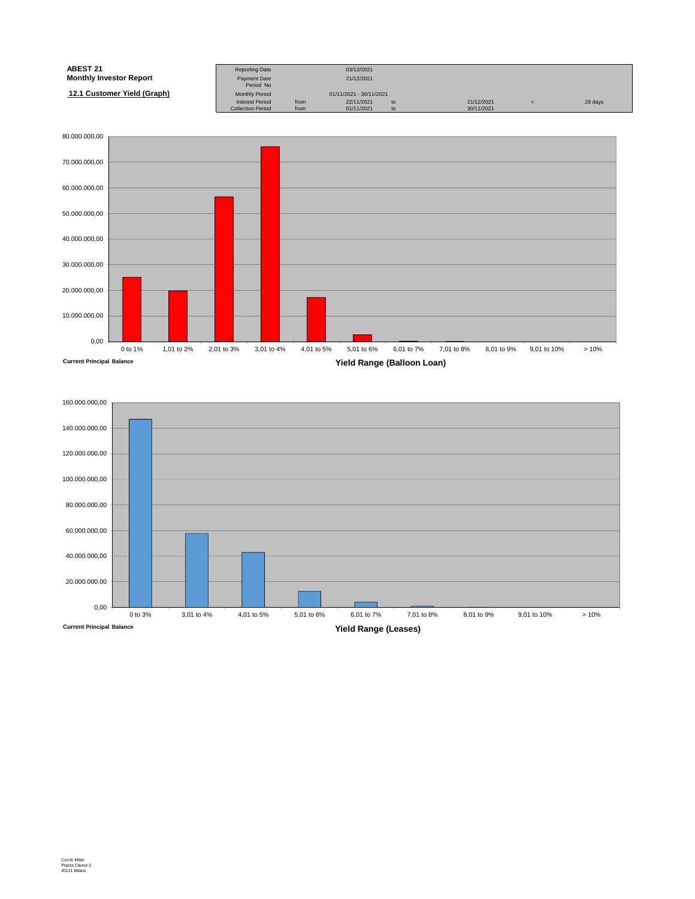| <b>ABEST 21</b>                | <b>Reporting Date</b>     |      | 03/12/2021              |    |            |     |         |
|--------------------------------|---------------------------|------|-------------------------|----|------------|-----|---------|
| <b>Monthly Investor Report</b> | Payment Date<br>Period No |      | 21/12/2021              |    |            |     |         |
| 12.1 Customer Yield (Graph)    | <b>Monthly Period</b>     |      | 01/11/2021 - 30/11/2021 |    |            |     |         |
|                                | <b>Interest Period</b>    | from | 22/11/2021              | to | 21/12/2021 | $=$ | 29 days |
|                                | <b>Collection Period</b>  | from | 01/11/2021              | to | 30/11/2021 |     |         |



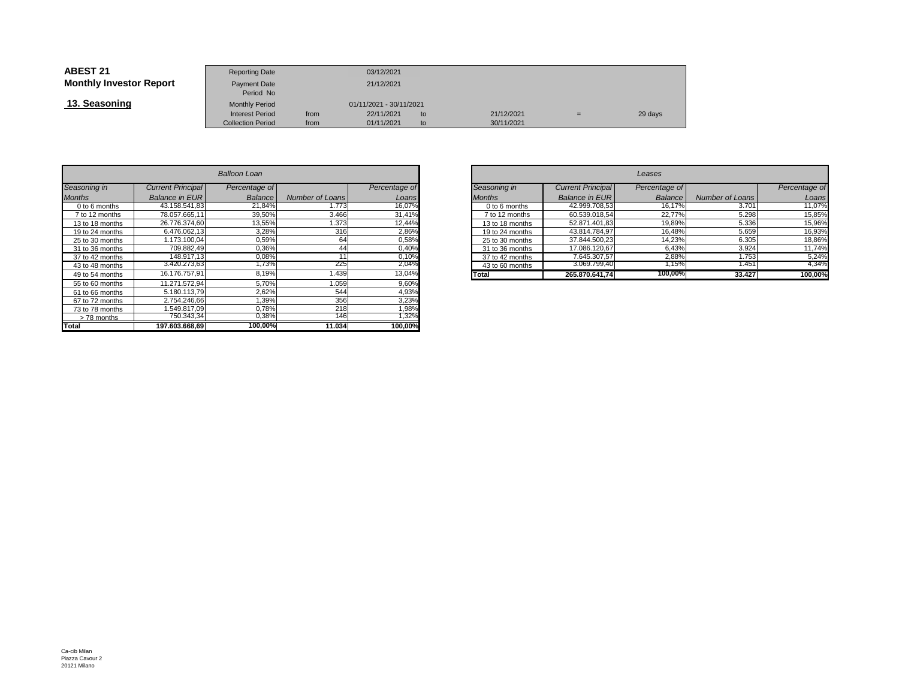| <b>ABEST 21</b>                | <b>Reporting Date</b>            |      | 03/12/2021              |    |            |     |         |
|--------------------------------|----------------------------------|------|-------------------------|----|------------|-----|---------|
| <b>Monthly Investor Report</b> | <b>Payment Date</b><br>Period No |      | 21/12/2021              |    |            |     |         |
| 13. Seasoning                  | <b>Monthly Period</b>            |      | 01/11/2021 - 30/11/2021 |    |            |     |         |
|                                | <b>Interest Period</b>           | from | 22/11/2021              | to | 21/12/2021 | $=$ | 29 days |
|                                | <b>Collection Period</b>         | from | 01/11/2021              | to | 30/11/2021 |     |         |

| Balloon Loan    |                          |                |                 |               |  |  |  |  |  |  |  |
|-----------------|--------------------------|----------------|-----------------|---------------|--|--|--|--|--|--|--|
| Seasoning in    | <b>Current Principal</b> | Percentage of  |                 | Percentage of |  |  |  |  |  |  |  |
| <b>Months</b>   | <b>Balance in EUR</b>    | <b>Balance</b> | Number of Loans | Loans         |  |  |  |  |  |  |  |
| 0 to 6 months   | 43.158.541.83            | 21,84%         | 1.773           | 16,07%        |  |  |  |  |  |  |  |
| 7 to 12 months  | 78.057.665.11            | 39,50%         | 3.466           | 31,41%        |  |  |  |  |  |  |  |
| 13 to 18 months | 26.776.374.60            | 13,55%         | 1.373           | 12,44%        |  |  |  |  |  |  |  |
| 19 to 24 months | 6.476.062.13             | 3,28%          | 316             | 2,86%         |  |  |  |  |  |  |  |
| 25 to 30 months | 1.173.100.04             | 0,59%          | 64              | 0,58%         |  |  |  |  |  |  |  |
| 31 to 36 months | 709.882,49               | 0,36%          | 44              | 0,40%         |  |  |  |  |  |  |  |
| 37 to 42 months | 148.917.13               | 0,08%          | 11              | 0,10%         |  |  |  |  |  |  |  |
| 43 to 48 months | 3.420.273,63             | 1,73%          | 225             | 2,04%         |  |  |  |  |  |  |  |
| 49 to 54 months | 16.176.757,91            | 8,19%          | 1.439           | 13,04%        |  |  |  |  |  |  |  |
| 55 to 60 months | 11.271.572.94            | 5.70%          | 1.059           | 9,60%         |  |  |  |  |  |  |  |
| 61 to 66 months | 5.180.113,79             | 2,62%          | 544             | 4,93%         |  |  |  |  |  |  |  |
| 67 to 72 months | 2.754.246.66             | 1.39%          | 356             | 3,23%         |  |  |  |  |  |  |  |
| 73 to 78 months | 1.549.817.09             | 0.78%          | 218             | 1,98%         |  |  |  |  |  |  |  |
| >78 months      | 750.343.34               | 0,38%          | 146             | 1,32%         |  |  |  |  |  |  |  |
| Total           | 197.603.668.69           | 100,00%        | 11.034          | 100,00%       |  |  |  |  |  |  |  |

| n            |                 |               |                 |                          | Leases        |                 |               |
|--------------|-----------------|---------------|-----------------|--------------------------|---------------|-----------------|---------------|
| ge of        |                 | Percentage of | Seasoning in    | <b>Current Principal</b> | Percentage of |                 | Percentage of |
| ance         | Number of Loans | Loans         | <b>Months</b>   | <b>Balance in EUR</b>    | Balance       | Number of Loans | Loans         |
| ,84%         | 1.773           | 16,07%        | 0 to 6 months   | 42.999.708,53            | 16.17%        | 3.701           | 11,07%        |
| <b>1,50%</b> | 3.466           | 31,41%        | 7 to 12 months  | 60.539.018,54            | 22,77%        | 5.298           | 15,85%        |
| 3,55%        | .373            | 12,44%        | 13 to 18 months | 52.871.401,83            | 19,89%        | 5.336           | 15,96%        |
| 3,28%        | 316             | 2,86%         | 19 to 24 months | 43.814.784,97            | 16,48%        | 5.659           | 16,93%        |
| 0,59%        | 64              | 0,58%         | 25 to 30 months | 37.844.500,23            | 14,23%        | 6.305           | 18,86%        |
| 0,36%        | 44              | 0,40%         | 31 to 36 months | 17.086.120.67            | 6.43%         | 3.924           | 11,74%        |
| 0,08%        |                 | 0.10%         | 37 to 42 months | 7.645.307.57             | 2,88%         | 1.753           | 5.24%         |
| ,73%         | 225             | 2,04%         | 43 to 60 months | 3.069.799,40             | l,15%         | 1.451           | 4,34%         |
| 3,19%        | .439            | 13,04%        | Total           | 265.870.641.74           | 100,00%       | 33.427          | 100,00%       |
| $- - -$      | $\cdot$ $ -$    | -----         |                 |                          |               |                 |               |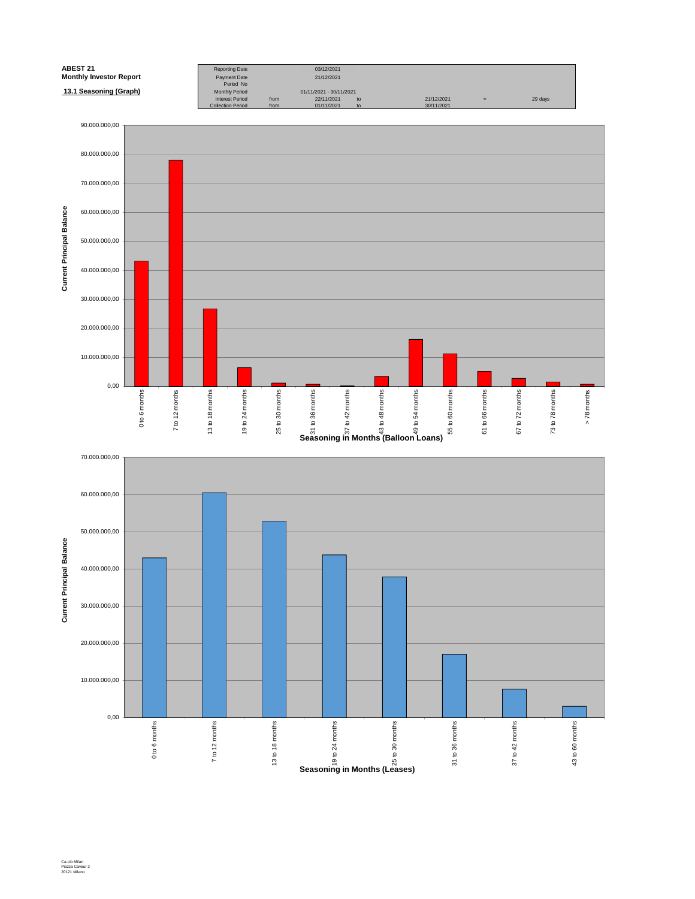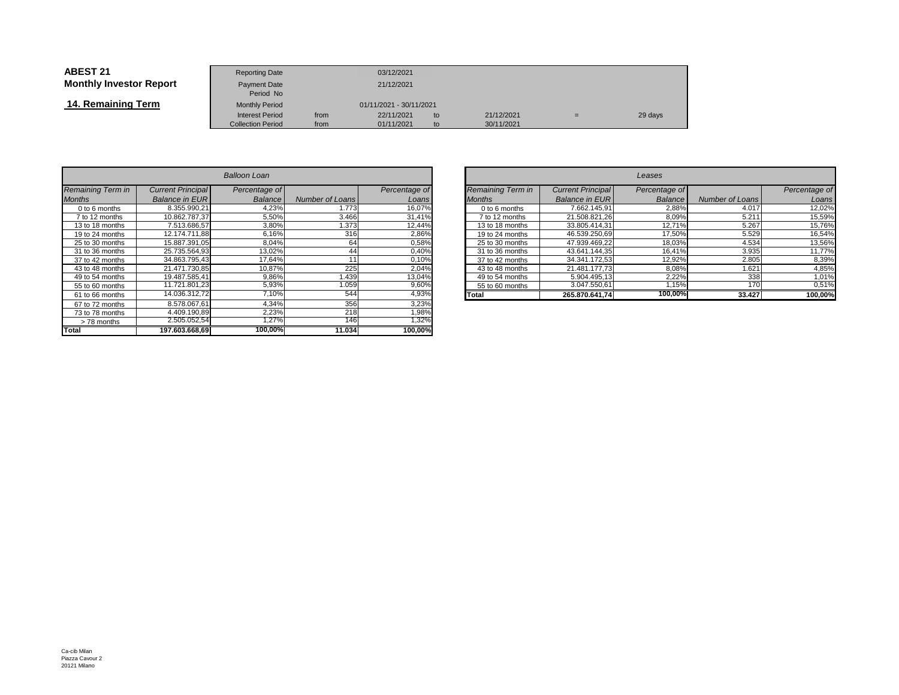| <b>ABEST 21</b>                | <b>Reporting Date</b>              |                         | 03/12/2021 |    |            |          |         |
|--------------------------------|------------------------------------|-------------------------|------------|----|------------|----------|---------|
| <b>Monthly Investor Report</b> | <b>Payment Date</b>                | 21/12/2021              |            |    |            |          |         |
| 14. Remaining Term             | Period No<br><b>Monthly Period</b> | 01/11/2021 - 30/11/2021 |            |    |            |          |         |
|                                | <b>Interest Period</b>             | from                    | 22/11/2021 | to | 21/12/2021 | $\equiv$ | 29 days |
|                                | <b>Collection Period</b>           | from                    | 01/11/2021 | to | 30/11/2021 |          |         |

|                   | Balloon Loan             |               |                        |               |  |  |  |  |  |
|-------------------|--------------------------|---------------|------------------------|---------------|--|--|--|--|--|
| Remaining Term in | <b>Current Principal</b> | Percentage of |                        | Percentage of |  |  |  |  |  |
| <b>Months</b>     | <b>Balance in EUR</b>    | Balance       | <b>Number of Loans</b> | Loans         |  |  |  |  |  |
| 0 to 6 months     | 8.355.990.21             | 4,23%         | 1.773                  | 16,07%        |  |  |  |  |  |
| 7 to 12 months    | 10.862.787.37            | 5,50%         | 3.466                  | 31,41%        |  |  |  |  |  |
| 13 to 18 months   | 7.513.686.57             | 3,80%         | 1.373                  | 12,44%        |  |  |  |  |  |
| 19 to 24 months   | 12.174.711.88            | 6,16%         | 316                    | 2,86%         |  |  |  |  |  |
| 25 to 30 months   | 15.887.391.05            | 8,04%         | 64                     | 0,58%         |  |  |  |  |  |
| 31 to 36 months   | 25.735.564.93            | 13,02%        | 44                     | 0,40%         |  |  |  |  |  |
| 37 to 42 months   | 34.863.795,43            | 17,64%        | 11                     | 0,10%         |  |  |  |  |  |
| 43 to 48 months   | 21.471.730.85            | 10,87%        | 225                    | 2,04%         |  |  |  |  |  |
| 49 to 54 months   | 19.487.585.41            | 9,86%         | 1.439                  | 13,04%        |  |  |  |  |  |
| 55 to 60 months   | 11.721.801,23            | 5,93%         | 1.059                  | 9,60%         |  |  |  |  |  |
| 61 to 66 months   | 14.036.312.72            | 7,10%         | 544                    | 4,93%         |  |  |  |  |  |
| 67 to 72 months   | 8.578.067,61             | 4,34%         | 356                    | 3,23%         |  |  |  |  |  |
| 73 to 78 months   | 4.409.190.89             | 2,23%         | 218                    | 1,98%         |  |  |  |  |  |
| >78 months        | 2.505.052,54             | 1,27%         | 146                    | 1,32%         |  |  |  |  |  |
| <b>Total</b>      | 197.603.668,69           | 100,00%       | 11.034                 | 100,00%       |  |  |  |  |  |

| $\overline{r}$ |                 |               |                   |                          | Leases        |                 |               |
|----------------|-----------------|---------------|-------------------|--------------------------|---------------|-----------------|---------------|
| ge of          |                 | Percentage of | Remaining Term in | <b>Current Principal</b> | Percentage of |                 | Percentage of |
| ance           | Number of Loans | Loansl        | <b>Months</b>     | <b>Balance in EUR</b>    | Balance       | Number of Loans | Loans         |
| 1,23%          | 1.773           | 16,07%        | 0 to 6 months     | 7.662.145.91             | 2,88%         | 4.017           | 12,02%        |
| 5,50%          | 3.466           | 31,41%        | 7 to 12 months    | 21.508.821.26            | 8,09%         | 5.211           | 15,59%        |
| 3,80%          | .373            | 12,44%        | 13 to 18 months   | 33.805.414,31            | 12,71%        | 5.267           | 15,76%        |
| 3,16%          | 316             | 2,86%         | 19 to 24 months   | 46.539.250.69            | 17,50%        | 5.529           | 16,54%        |
| 3,04%          | 64              | 0,58%         | 25 to 30 months   | 47.939.469.22            | 18,03%        | 4.534           | 13,56%        |
| $3,02\%$       | 44              | 0,40%         | 31 to 36 months   | 43.641.144.35            | 16.41%        | 3.935           | 11,77%        |
| ,64%           | 11              | 0,10%         | 37 to 42 months   | 34.341.172.53            | 12,92%        | 2.805           | 8,39%         |
| 0,87%          | 225             | 2.04%         | 43 to 48 months   | 21.481.177.73            | 8,08%         | 1.621           | 4.85%         |
| ,86%           | .439            | 13,04%        | 49 to 54 months   | 5.904.495.13             | 2,22%         | 338             | 1,01%         |
| 5,93%          | 1.059           | 9,60%         | 55 to 60 months   | 3.047.550.61             | ,15%          | 170             | 0,51%         |
| ,10%           | 544             | 4,93%         | Total             | 265.870.641.74           | 100,00%       | 33.427          | 100,00%       |
| 0.401          | 250             | 0.0001        |                   |                          |               |                 |               |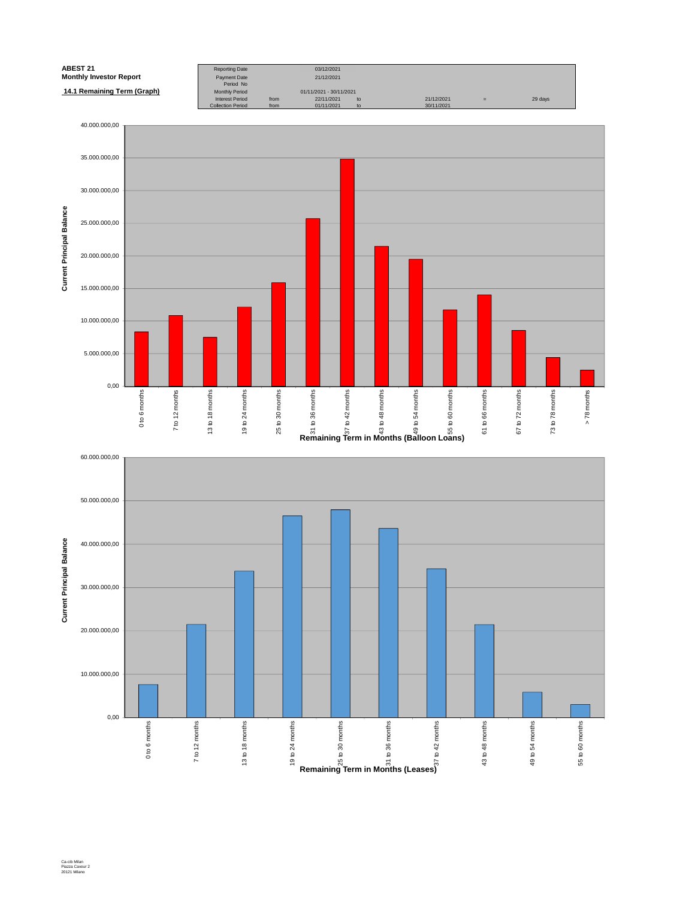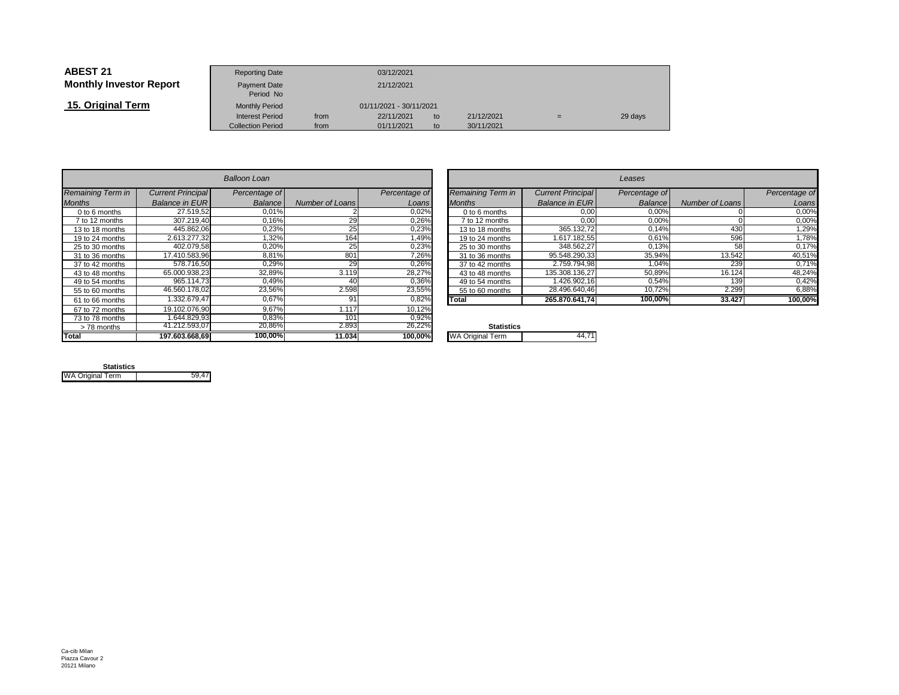| <b>ABEST 21</b>                | <b>Reporting Date</b>     |                         | 03/12/2021 |    |            |     |         |
|--------------------------------|---------------------------|-------------------------|------------|----|------------|-----|---------|
| <b>Monthly Investor Report</b> | Payment Date<br>Period No |                         | 21/12/2021 |    |            |     |         |
| 15. Original Term              | <b>Monthly Period</b>     | 01/11/2021 - 30/11/2021 |            |    |            |     |         |
|                                | <b>Interest Period</b>    | from                    | 22/11/2021 | to | 21/12/2021 | $=$ | 29 days |
|                                | <b>Collection Period</b>  | from                    | 01/11/2021 | to | 30/11/2021 |     |         |

|                   |                          | Balloon Loan  |                        |               |                         |
|-------------------|--------------------------|---------------|------------------------|---------------|-------------------------|
| Remaining Term in | <b>Current Principal</b> | Percentage of |                        | Percentage of | Remaining Term in       |
| <b>Months</b>     | <b>Balance in EUR</b>    | Balance       | <b>Number of Loans</b> | Loans         | <b>Months</b>           |
| $0$ to 6 months   | 27.519.52                | 0.01%         |                        | 0,02%         | $0$ to 6 months         |
| 7 to 12 months    | 307.219.40               | 0,16%         | 29                     | 0,26%         | 7 to 12 months          |
| 13 to 18 months   | 445.862,06               | 0,23%         | 25                     | 0,23%         | 13 to 18 months         |
| 19 to 24 months   | 2.613.277.32             | 1.32%         | 164                    | 1,49%         | 19 to 24 months         |
| 25 to 30 months   | 402.079.58               | 0,20%         | 25                     | 0,23%         | 25 to 30 months         |
| 31 to 36 months   | 17.410.583.96            | 8.81%         | 801                    | 7,26%         | 31 to 36 months         |
| 37 to 42 months   | 578.716.50               | 0.29%         | 29                     | 0,26%         | 37 to 42 months         |
| 43 to 48 months   | 65.000.938.23            | 32.89%        | 3.119                  | 28,27%        | 43 to 48 months         |
| 49 to 54 months   | 965.114,73               | 0.49%         | 40                     | 0,36%         | 49 to 54 months         |
| 55 to 60 months   | 46.560.178.02            | 23.56%        | 2.598                  | 23,55%        | 55 to 60 months         |
| 61 to 66 months   | 1.332.679,47             | 0.67%         | 91                     | 0,82%         | Total                   |
| 67 to 72 months   | 19.102.076.90            | 9.67%         | 1.117                  | 10,12%        |                         |
| 73 to 78 months   | 1.644.829.93             | 0.83%         | 101                    | 0,92%         |                         |
| > 78 months       | 41.212.593.07            | 20,86%        | 2.893                  | 26,22%        | <b>Statistics</b>       |
| <b>Total</b>      | 197.603.668,69           | 100.00%       | 11.034                 | 100,00%       | <b>WA Original Term</b> |

| n        |                        |               |                   |                          | Leases        |                 |               |
|----------|------------------------|---------------|-------------------|--------------------------|---------------|-----------------|---------------|
| ge of    |                        | Percentage of | Remaining Term in | <b>Current Principal</b> | Percentage of |                 | Percentage of |
| ance     | <b>Number of Loans</b> | Loans         | <b>Months</b>     | <b>Balance in EUR</b>    | Balance       | Number of Loans | Loans         |
| $0,01\%$ |                        | 0,02%         | 0 to 6 months     | 0,00                     | 0,00%         |                 | 0,00%         |
| ,16%     | 29                     | 0,26%         | 7 to 12 months    | 0,00                     | 0,00%         |                 | 0,00%         |
| 0,23%    | 25                     | 0,23%         | 13 to 18 months   | 365.132,72               | 0.14%         | 430             | 1,29%         |
| ,32%     | 164                    | 1.49%         | 19 to 24 months   | 1.617.182.55             | 0,61%         | 596             | 1,78%         |
| ,20%     | 25                     | 0,23%         | 25 to 30 months   | 348.562,27               | 0,13%         | 58              | 0,17%         |
| $8,81\%$ | 801                    | 7,26%         | 31 to 36 months   | 95.548.290,33            | 35,94%        | 13.542          | 40,51%        |
| 0.29%    | 29                     | 0,26%         | 37 to 42 months   | 2.759.794.98             | 1.04%         | 239             | 0,71%         |
| $2,89\%$ | 3.119                  | 28,27%        | 43 to 48 months   | 135.308.136.27           | 50,89%        | 16.124          | 48,24%        |
| ),49%    | 40                     | 0,36%         | 49 to 54 months   | 1.426.902,16             | 0,54%         | 139             | 0,42%         |
| ,56%     | 2.598                  | 23,55%        | 55 to 60 months   | 28.496.640,46            | 10,72%        | 2.299           | 6,88%         |
| 0.67%    | 91                     | 0,82%         | Total             | 265.870.641.74           | 100,00%       | 33.427          | 100,00%       |
| $\sim$   |                        | 10, 100       |                   |                          |               |                 |               |

| $\mathbf{O}/$           | <b>Statistics</b>       |  |
|-------------------------|-------------------------|--|
| $\overline{\mathbf{0}}$ | <b>WA Original Term</b> |  |
|                         |                         |  |

| <b>Statistics</b>       |       |
|-------------------------|-------|
| <b>WA Original Term</b> | 59.47 |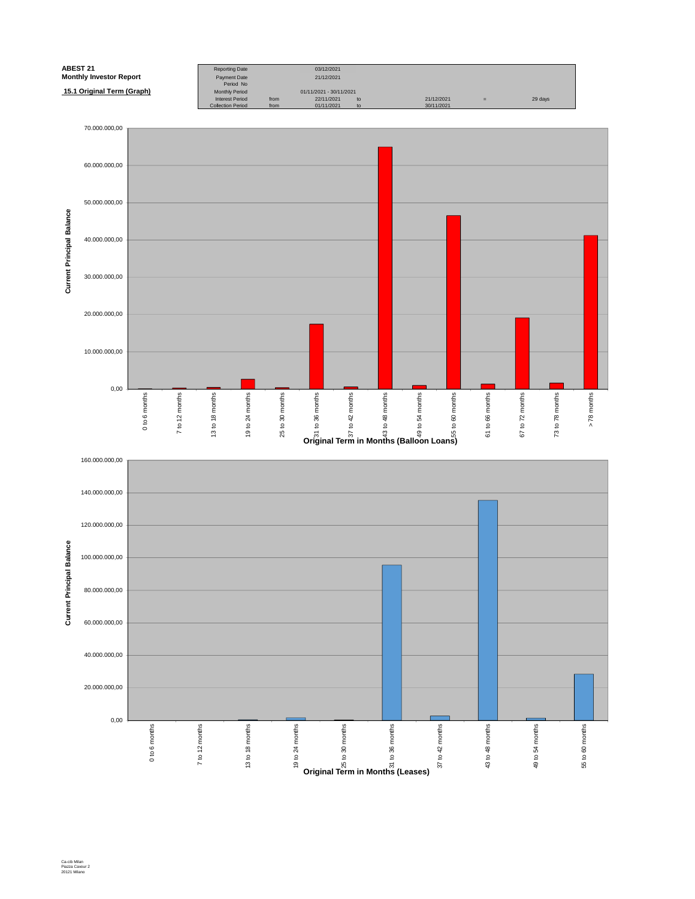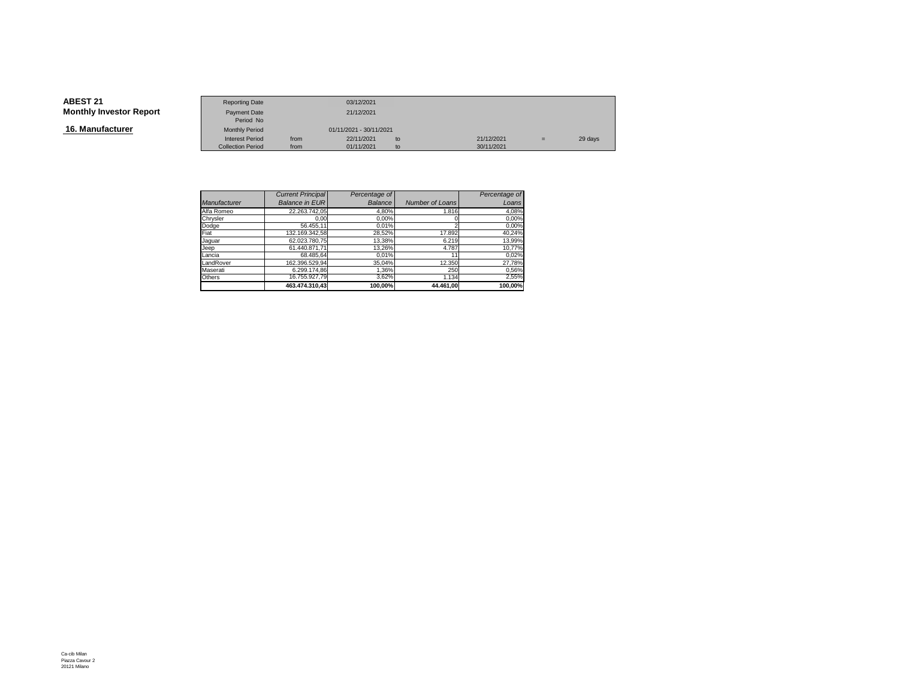**16. Manufacturer**

|                        | <b>Reporting Date</b>    |      | 03/12/2021              |    |            |     |         |
|------------------------|--------------------------|------|-------------------------|----|------------|-----|---------|
| <b>Investor Report</b> | Payment Date             |      | 21/12/2021              |    |            |     |         |
|                        | Period No                |      |                         |    |            |     |         |
| ıfacturer              | <b>Monthly Period</b>    |      | 01/11/2021 - 30/11/2021 |    |            |     |         |
|                        | <b>Interest Period</b>   | from | 22/11/2021              | to | 21/12/2021 | $=$ | 29 days |
|                        | <b>Collection Period</b> | from | 01/11/2021              | to | 30/11/2021 |     |         |

|                     | <b>Current Principal</b> | Percentage of  |                 | Percentage of |
|---------------------|--------------------------|----------------|-----------------|---------------|
| <b>Manufacturer</b> | <b>Balance in EUR</b>    | <b>Balance</b> | Number of Loans | Loans         |
| Alfa Romeo          | 22.263.742,05            | 4,80%          | 1.816           | 4,08%         |
| Chrysler            | 0.00                     | 0,00%          |                 | 0,00%         |
| Dodge               | 56.455.11                | 0.01%          |                 | 0,00%         |
| Fiat                | 132.169.342,58           | 28,52%         | 17.892          | 40,24%        |
| Jaquar              | 62.023.780.75            | 13,38%         | 6.219           | 13,99%        |
| Jeep                | 61.440.871.71            | 13,26%         | 4.787           | 10,77%        |
| Lancia              | 68.485.64                | 0.01%          | 11              | 0,02%         |
| LandRover           | 162.396.529.94           | 35,04%         | 12.350          | 27,78%        |
| Maserati            | 6.299.174.86             | 1,36%          | 250             | 0,56%         |
| Others              | 16.755.927.79            | 3,62%          | 1.134           | 2,55%         |
|                     | 463.474.310.43           | 100.00%        | 44.461.00       | 100.00%       |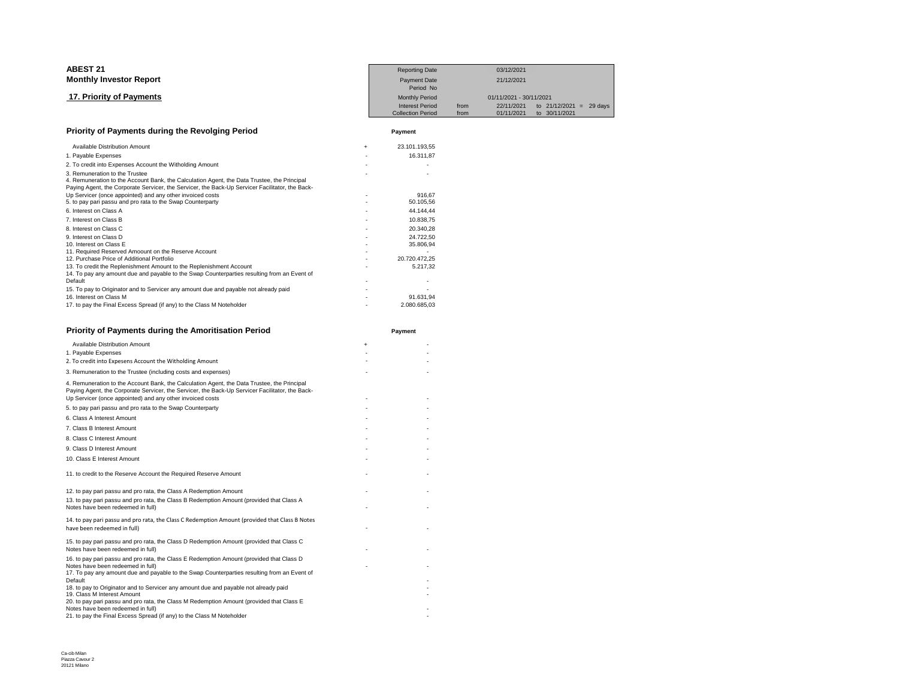| <b>ABEST 21</b>                                                                                                                                                                                                                  |     | <b>Reporting Date</b>            |      | 03/12/2021              |               |                |
|----------------------------------------------------------------------------------------------------------------------------------------------------------------------------------------------------------------------------------|-----|----------------------------------|------|-------------------------|---------------|----------------|
| <b>Monthly Investor Report</b>                                                                                                                                                                                                   |     | <b>Payment Date</b><br>Period No |      | 21/12/2021              |               |                |
| 17. Priority of Payments                                                                                                                                                                                                         |     | <b>Monthly Period</b>            |      | 01/11/2021 - 30/11/2021 |               |                |
|                                                                                                                                                                                                                                  |     | <b>Interest Period</b>           | from | 22/11/2021              | to 21/12/2021 | 29 days<br>$=$ |
|                                                                                                                                                                                                                                  |     | <b>Collection Period</b>         | from | 01/11/2021              | to 30/11/2021 |                |
| Priority of Payments during the Revolging Period                                                                                                                                                                                 |     | Payment                          |      |                         |               |                |
| Available Distribution Amount                                                                                                                                                                                                    | $+$ | 23.101.193,55                    |      |                         |               |                |
| 1. Payable Expenses                                                                                                                                                                                                              |     | 16.311,87                        |      |                         |               |                |
| 2. To credit into Expenses Account the Witholding Amount                                                                                                                                                                         |     |                                  |      |                         |               |                |
| 3. Remuneration to the Trustee<br>4. Remuneration to the Account Bank, the Calculation Agent, the Data Trustee, the Principal<br>Paying Agent, the Corporate Servicer, the Servicer, the Back-Up Servicer Facilitator, the Back- |     |                                  |      |                         |               |                |
| Up Servicer (once appointed) and any other invoiced costs                                                                                                                                                                        |     | 916.67                           |      |                         |               |                |
| 5. to pay pari passu and pro rata to the Swap Counterparty                                                                                                                                                                       |     | 50.105,56                        |      |                         |               |                |
| 6. Interest on Class A                                                                                                                                                                                                           |     | 44.144,44                        |      |                         |               |                |
| 7. Interest on Class B                                                                                                                                                                                                           |     | 10.838,75                        |      |                         |               |                |
| 8. Interest on Class C                                                                                                                                                                                                           |     | 20.340.28                        |      |                         |               |                |
| 9. Interest on Class D                                                                                                                                                                                                           |     | 24.722.50                        |      |                         |               |                |
| 10. Interest on Class E                                                                                                                                                                                                          |     | 35.806,94                        |      |                         |               |                |
| 11. Required Reserved Amoount on the Reserve Account                                                                                                                                                                             |     |                                  |      |                         |               |                |
| 12. Purchase Price of Additional Portfolio                                                                                                                                                                                       |     | 20.720.472,25                    |      |                         |               |                |
| 13. To credit the Replenishment Amount to the Replenishment Account                                                                                                                                                              |     | 5.217.32                         |      |                         |               |                |
| 14. To pay any amount due and payable to the Swap Counterparties resulting from an Event of                                                                                                                                      |     |                                  |      |                         |               |                |
| Default                                                                                                                                                                                                                          |     |                                  |      |                         |               |                |
| 15. To pay to Originator and to Servicer any amount due and payable not already paid                                                                                                                                             |     |                                  |      |                         |               |                |
| 16. Interest on Class M                                                                                                                                                                                                          |     | 91.631,94                        |      |                         |               |                |
| 17. to pay the Final Excess Spread (if any) to the Class M Noteholder                                                                                                                                                            |     | 2.080.685.03                     |      |                         |               |                |

| <b>Priority of Payments during the Amoritisation Period</b>                                                                                                                                                                                                 | Payment   |
|-------------------------------------------------------------------------------------------------------------------------------------------------------------------------------------------------------------------------------------------------------------|-----------|
| <b>Available Distribution Amount</b>                                                                                                                                                                                                                        | $\ddot{}$ |
| 1. Payable Expenses                                                                                                                                                                                                                                         |           |
| 2. To credit into Expesens Account the Witholding Amount                                                                                                                                                                                                    |           |
| 3. Remuneration to the Trustee (including costs and expenses)                                                                                                                                                                                               |           |
| 4. Remuneration to the Account Bank, the Calculation Agent, the Data Trustee, the Principal<br>Paying Agent, the Corporate Servicer, the Servicer, the Back-Up Servicer Facilitator, the Back-<br>Up Servicer (once appointed) and any other invoiced costs |           |
| 5. to pay pari passu and pro rata to the Swap Counterparty                                                                                                                                                                                                  |           |
| 6. Class A Interest Amount                                                                                                                                                                                                                                  |           |
| 7. Class B Interest Amount                                                                                                                                                                                                                                  |           |
| 8. Class C Interest Amount                                                                                                                                                                                                                                  |           |
| 9. Class D Interest Amount                                                                                                                                                                                                                                  |           |
| 10. Class E Interest Amount                                                                                                                                                                                                                                 |           |
| 11. to credit to the Reserve Account the Required Reserve Amount                                                                                                                                                                                            |           |
| 12. to pay pari passu and pro rata, the Class A Redemption Amount                                                                                                                                                                                           |           |
| 13. to pay pari passu and pro rata, the Class B Redemption Amount (provided that Class A<br>Notes have been redeemed in full)                                                                                                                               |           |
| 14. to pay pari passu and pro rata, the Class C Redemption Amount (provided that Class B Notes<br>have been redeemed in full)                                                                                                                               |           |
| 15. to pay pari passu and pro rata, the Class D Redemption Amount (provided that Class C<br>Notes have been redeemed in full)                                                                                                                               |           |
| 16. to pay pari passu and pro rata, the Class E Redemption Amount (provided that Class D<br>Notes have been redeemed in full)                                                                                                                               |           |
| 17. To pay any amount due and payable to the Swap Counterparties resulting from an Event of<br>Default                                                                                                                                                      |           |
| 18. to pay to Originator and to Servicer any amount due and payable not already paid<br>19. Class M Interest Amount                                                                                                                                         |           |
| 20. to pay pari passu and pro rata, the Class M Redemption Amount (provided that Class E<br>Notes have been redeemed in full)                                                                                                                               |           |
| 21. to pay the Final Excess Spread (if any) to the Class M Noteholder                                                                                                                                                                                       |           |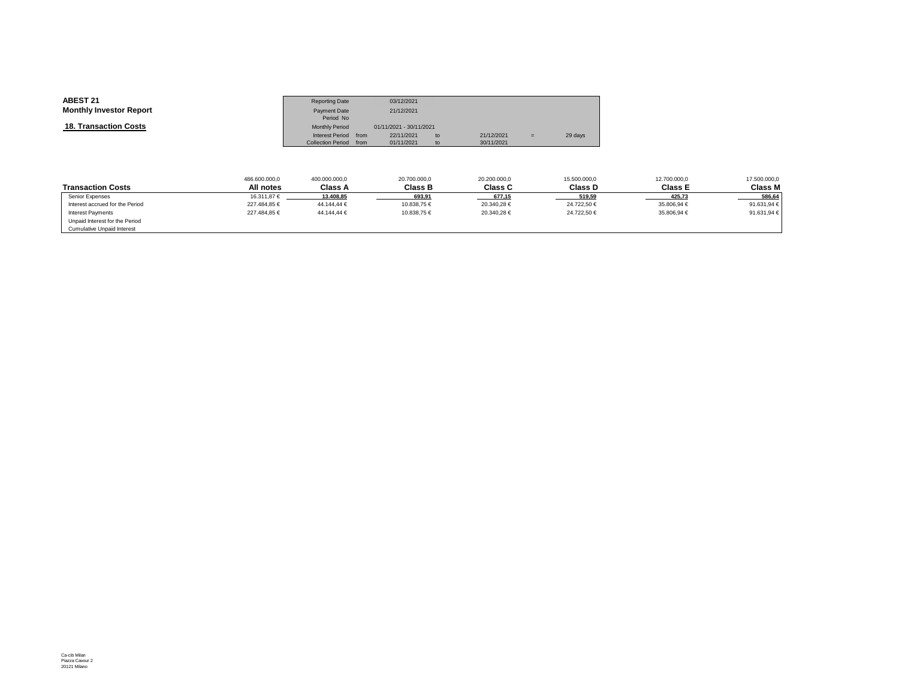| <b>ABEST 21</b>                | <b>Reporting Date</b>    |      | 03/12/2021              |    |            |     |         |
|--------------------------------|--------------------------|------|-------------------------|----|------------|-----|---------|
| <b>Monthly Investor Report</b> | <b>Payment Date</b>      |      | 21/12/2021              |    |            |     |         |
|                                | Period No                |      |                         |    |            |     |         |
| <b>18. Transaction Costs</b>   | <b>Monthly Period</b>    |      | 01/11/2021 - 30/11/2021 |    |            |     |         |
|                                | <b>Interest Period</b>   | from | 22/11/2021              | to | 21/12/2021 | $=$ | 29 days |
|                                | <b>Collection Period</b> | from | 01/11/2021              | to | 30/11/2021 |     |         |

|                                 | 486.600.000,0 | 400.000.000,0  | 20.700.000,0   | 20.200.000,0   | 15.500.000,0 | 12.700.000,0   | 17.500.000,0 |
|---------------------------------|---------------|----------------|----------------|----------------|--------------|----------------|--------------|
| <b>Transaction Costs</b>        | All notes     | <b>Class A</b> | <b>Class B</b> | <b>Class C</b> | Class D      | <b>Class E</b> | Class M      |
| Senior Expenses                 | 16.311.87 €   | 13.408.85      | 693.91         | 677.15         | 519.59       | 425.73         | 586.64       |
| Interest accrued for the Period | 227.484,85 €  | 44.144,44 €    | 10.838,75 €    | 20.340,28 €    | 24.722,50 €  | 35.806,94 €    | 91.631,94 €  |
| <b>Interest Payments</b>        | 227.484.85 €  | 44.144.44 €    | 10.838.75 €    | 20.340.28 €    | 24.722.50 €  | 35,806,94 €    | 91.631,94 €  |
| Unpaid Interest for the Period  |               |                |                |                |              |                |              |
| Cumulative Unpaid Interest      |               |                |                |                |              |                |              |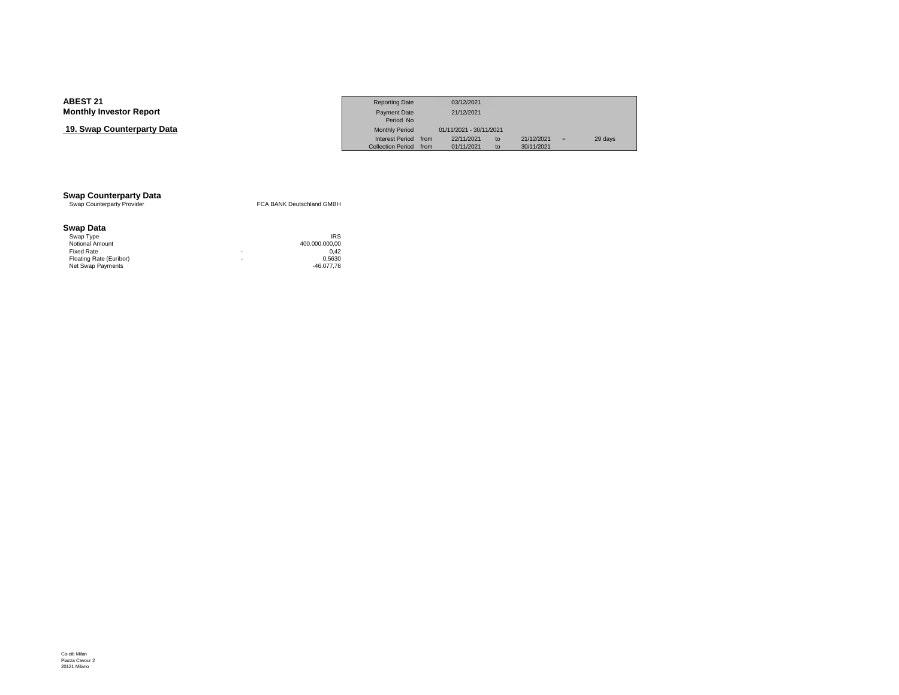## **19. Swap Counterparty Data**

|                            | <b>Reporting Date</b>    |      | 03/12/2021              |    |            |         |
|----------------------------|--------------------------|------|-------------------------|----|------------|---------|
| Investor Report            | <b>Payment Date</b>      |      | 21/12/2021              |    |            |         |
|                            | Period No                |      |                         |    |            |         |
| <b>› Counterpartv Data</b> | <b>Monthly Period</b>    |      | 01/11/2021 - 30/11/2021 |    |            |         |
|                            | <b>Interest Period</b>   | from | 22/11/2021              | to | 21/12/2021 | 29 days |
|                            | <b>Collection Period</b> | from | 01/11/2021              | to | 30/11/2021 |         |

# **Swap Counterparty Data**<br>
Swap Counterparty Provider

FCA BANK Deutschland GMBH

### **Swap Data**

| Swap Type               |   | <b>IRS</b>     |
|-------------------------|---|----------------|
| Notional Amount         |   | 400.000.000.00 |
| Fixed Rate              | ۰ | 0.42           |
| Floating Rate (Euribor) | ۰ | 0.5630         |
| Net Swap Payments       |   | -46.077.78     |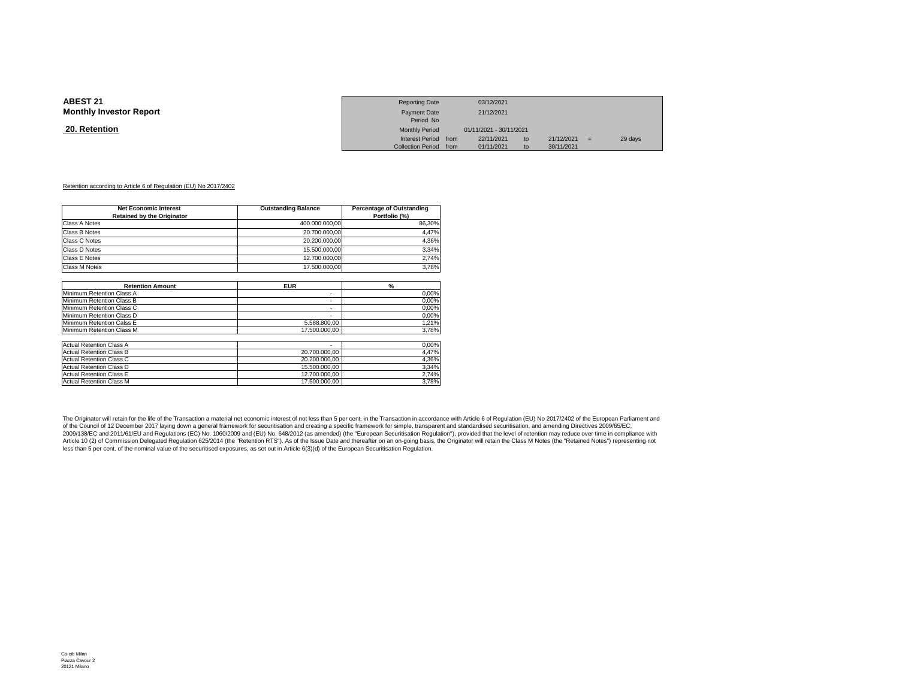### **20. Retention**

|                 | <b>Reporting Date</b>  | 03/12/2021              |    |            |     |         |
|-----------------|------------------------|-------------------------|----|------------|-----|---------|
| Investor Report | Payment Date           | 21/12/2021              |    |            |     |         |
|                 | Period No              |                         |    |            |     |         |
| <u>ntion</u>    | <b>Monthly Period</b>  | 01/11/2021 - 30/11/2021 |    |            |     |         |
|                 | Interest Period from   | 22/11/2021              | to | 21/12/2021 | $=$ | 29 days |
|                 | Collection Period from | 01/11/2021              | to | 30/11/2021 |     |         |

#### Retention according to Article 6 of Regulation (EU) No 2017/2402

| <b>Net Economic Interest</b><br><b>Retained by the Originator</b> | <b>Outstanding Balance</b> | <b>Percentage of Outstanding</b><br>Portfolio (%) |
|-------------------------------------------------------------------|----------------------------|---------------------------------------------------|
| Class A Notes                                                     | 400.000.000,00             | 86,30%                                            |
| Class B Notes                                                     | 20.700.000,00              | 4,47%                                             |
| Class C Notes                                                     | 20.200.000.00              | 4,36%                                             |
| Class D Notes                                                     | 15.500.000,00              | 3,34%                                             |
| Class E Notes                                                     | 12.700.000,00              | 2,74%                                             |
| <b>Class M Notes</b>                                              | 17.500.000.00              | 3,78%                                             |
|                                                                   |                            |                                                   |
| <b>Retention Amount</b>                                           | <b>EUR</b>                 | $\frac{9}{6}$                                     |
| Minimum Retention Class A                                         | ٠                          | 0,00%                                             |
| Minimum Retention Class B                                         | ٠                          | 0,00%                                             |
| Minimum Retention Class C                                         | ٠                          | 0,00%                                             |
| Minimum Retention Class D                                         | ٠                          | 0,00%                                             |
| Minimum Retention Calss E                                         | 5.588.800,00               | 1,21%                                             |
| Minimum Retention Class M                                         | 17.500.000.00              | 3,78%                                             |
| <b>Actual Retention Class A</b>                                   |                            | 0,00%                                             |
| <b>Actual Retention Class B</b>                                   | 20.700.000,00              | 4,47%                                             |
| Actual Retention Class C                                          | 20.200.000,00              | 4,36%                                             |
| <b>Actual Retention Class D</b>                                   | 15.500.000,00              | 3,34%                                             |
| <b>Actual Retention Class E</b>                                   | 12.700.000,00              | 2,74%                                             |
| <b>Actual Retention Class M</b>                                   | 17.500.000.00              | 3,78%                                             |

The Originator will retain for the life of the Transaction a material net economic interest of not less than 5 per cent. in the Transaction in accordance with Article 6 of Regulation (EU) No 2017/2402 of the European Parli of the Council of 12 December 2017 laying down a general framework for securitisation and creating a specific framework for simple, transparent and standardised securitisation, and amending Directives 2009/65/EC, 2009/138/EC and 2011/61/EU and Regulations (EC) No. 1060/2009 and (EU) No. 648/2012 (as amended) (the "European Securitisation Regulation"), provided that the level of retention may reduce over time in compliance with<br>Arti less than 5 per cent. of the nominal value of the securitised exposures, as set out in Article 6(3)(d) of the European Securitisation Regulation.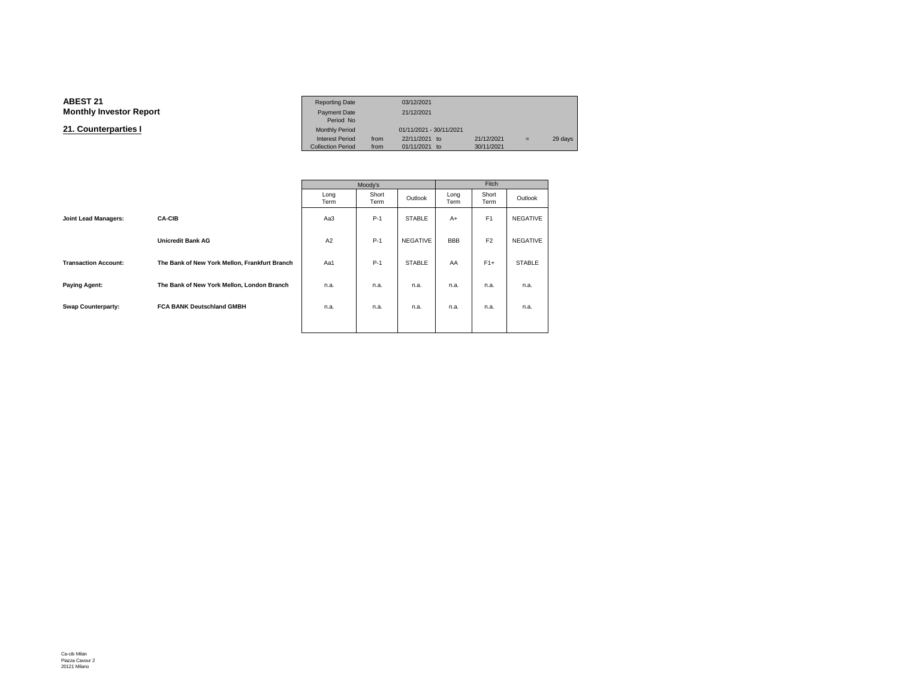#### **ABEST 21**Reporting Date 03/12/2021<br>Payment Date 21/12/2021 **Monthly Investor Reportt** Payment Date 21/12/2021<br>Period No Monthly Period **21. Counterparties I**Monthly Period 01/11/2021 - 30/11/2021<br>Interest Period from 22/11/2021 to  $\begin{array}{rcl}\n 1 & 22/11/2021 & \text{to} & 21/12/2021 & = & 29 \text{ days} \\
 10 & 0 & 21/11/2021 & \text{to} & 30/11/2021 & \text{day} & \text{day} & \text{day} & \text{day} & \text{day} & \text{day} & \text{day} & \text{day} & \text{day} & \text{day} & \text{day} & \text{day} & \text{day} & \text{day} & \text{day} & \text{day} & \text{day} & \text{day} & \text{day} & \text{day} & \text{day} & \text{day$ Collection Period

|                             |                                               |              | Moody's       | Fitch           |              |                |                 |  |
|-----------------------------|-----------------------------------------------|--------------|---------------|-----------------|--------------|----------------|-----------------|--|
|                             |                                               | Long<br>Term | Short<br>Term | Outlook         | Long<br>Term | Short<br>Term  | Outlook         |  |
| <b>Joint Lead Managers:</b> | <b>CA-CIB</b>                                 | Aa3          | $P-1$         | <b>STABLE</b>   | $A+$         | F <sub>1</sub> | <b>NEGATIVE</b> |  |
|                             | <b>Unicredit Bank AG</b>                      | A2           | $P-1$         | <b>NEGATIVE</b> | <b>BBB</b>   | F <sub>2</sub> | <b>NEGATIVE</b> |  |
| <b>Transaction Account:</b> | The Bank of New York Mellon, Frankfurt Branch | Aa1          | $P-1$         | <b>STABLE</b>   | AA           | $F1+$          | <b>STABLE</b>   |  |
| <b>Paying Agent:</b>        | The Bank of New York Mellon, London Branch    | n.a.         | n.a.          | n.a.            | n.a.         | n.a.           | n.a.            |  |
| <b>Swap Counterparty:</b>   | <b>FCA BANK Deutschland GMBH</b>              | n.a.         | n.a.          | n.a.            | n.a.         | n.a.           | n.a.            |  |
|                             |                                               |              |               |                 |              |                |                 |  |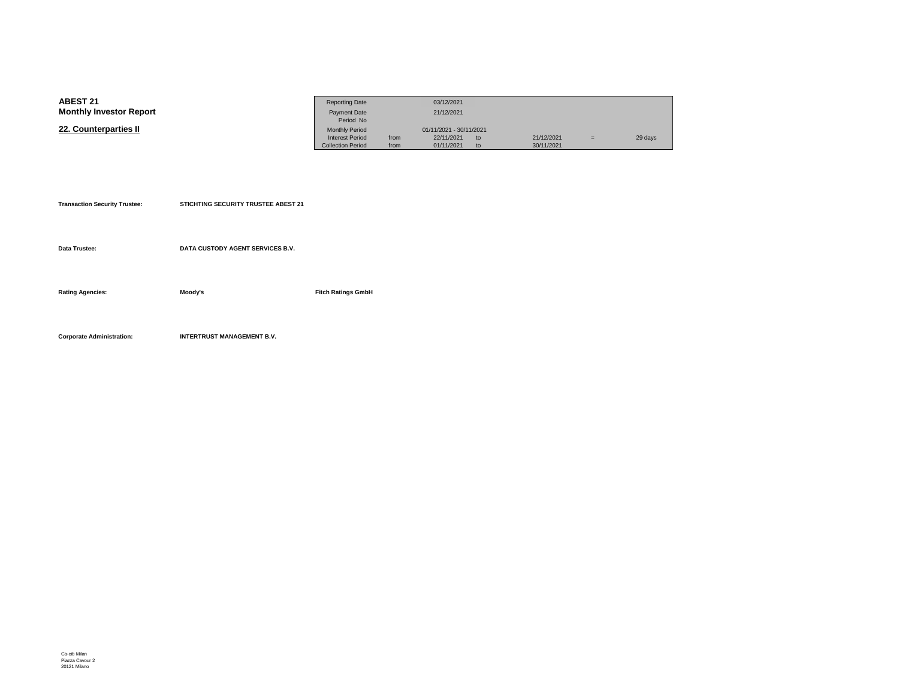| <b>ABEST 21</b>                | <b>Reporting Date</b>    |      | 03/12/2021              |    |            |     |         |
|--------------------------------|--------------------------|------|-------------------------|----|------------|-----|---------|
| <b>Monthly Investor Report</b> | <b>Payment Date</b>      |      | 21/12/2021              |    |            |     |         |
|                                | Period No                |      |                         |    |            |     |         |
| 22. Counterparties II          | <b>Monthly Period</b>    |      | 01/11/2021 - 30/11/2021 |    |            |     |         |
|                                | <b>Interest Period</b>   | from | 22/11/2021              | to | 21/12/2021 | $=$ | 29 days |
|                                | <b>Collection Period</b> | from | 01/11/2021              | to | 30/11/2021 |     |         |

| <b>Transaction Security Trustee:</b> | <b>STICHTING SECURITY TRUSTEE ABEST 21</b> |                           |
|--------------------------------------|--------------------------------------------|---------------------------|
|                                      |                                            |                           |
| Data Trustee:                        | DATA CUSTODY AGENT SERVICES B.V.           |                           |
|                                      |                                            |                           |
| <b>Rating Agencies:</b>              | Moody's                                    | <b>Fitch Ratings GmbH</b> |
|                                      |                                            |                           |
|                                      |                                            |                           |
| <b>Corporate Administration:</b>     | <b>INTERTRUST MANAGEMENT B.V.</b>          |                           |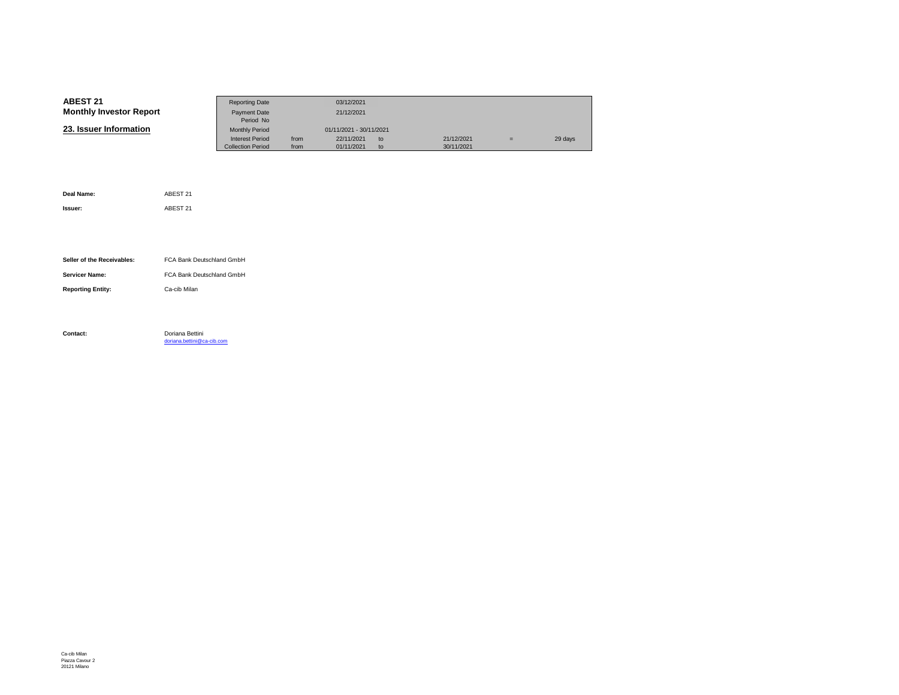| <b>ABEST 21</b>                | <b>Reporting Date</b>    |      | 03/12/2021              |    |            |     |         |
|--------------------------------|--------------------------|------|-------------------------|----|------------|-----|---------|
| <b>Monthly Investor Report</b> | Payment Date             |      | 21/12/2021              |    |            |     |         |
|                                | Period No                |      |                         |    |            |     |         |
| 23. Issuer Information         | <b>Monthly Period</b>    |      | 01/11/2021 - 30/11/2021 |    |            |     |         |
|                                | <b>Interest Period</b>   | from | 22/11/2021              | to | 21/12/2021 | $=$ | 29 days |
|                                | <b>Collection Period</b> | from | 01/11/2021              | to | 30/11/2021 |     |         |

| Deal Name:                 | ABEST 21                                      |
|----------------------------|-----------------------------------------------|
| Issuer:                    | ABEST 21                                      |
|                            |                                               |
|                            |                                               |
| Seller of the Receivables: | FCA Bank Deutschland GmbH                     |
| <b>Servicer Name:</b>      | FCA Bank Deutschland GmbH                     |
| <b>Reporting Entity:</b>   | Ca-cib Milan                                  |
|                            |                                               |
|                            |                                               |
| Contact:                   | Doriana Bettini<br>doriana.bettini@ca-cib.com |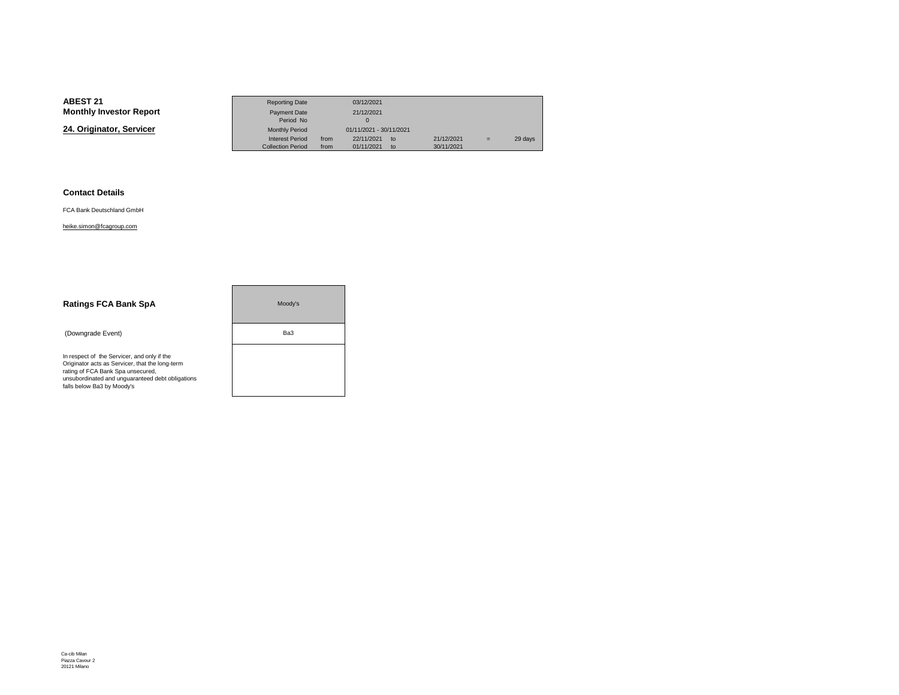**24. Originator, Servicer**

|                 | <b>Reporting Date</b>    |                         | 03/12/2021 |             |            |     |         |
|-----------------|--------------------------|-------------------------|------------|-------------|------------|-----|---------|
| Investor Report | Payment Date             |                         | 21/12/2021 |             |            |     |         |
|                 | Period No                |                         |            |             |            |     |         |
| nator. Servicer | <b>Monthly Period</b>    | 01/11/2021 - 30/11/2021 |            |             |            |     |         |
|                 | <b>Interest Period</b>   | from                    | 22/11/2021 | $t^{\circ}$ | 21/12/2021 | $=$ | 29 days |
|                 | <b>Collection Period</b> | from                    | 01/11/2021 | to          | 30/11/2021 |     |         |

### **Contact Details**

FCA Bank Deutschland GmbH

### heike.simon@fcagroup.com

| <b>Ratings FCA Bank SpA</b>                                                                                                                                                                                           | Moody's |  |
|-----------------------------------------------------------------------------------------------------------------------------------------------------------------------------------------------------------------------|---------|--|
| (Downgrade Event)                                                                                                                                                                                                     | Ba3     |  |
| In respect of the Servicer, and only if the<br>Originator acts as Servicer, that the long-term<br>rating of FCA Bank Spa unsecured,<br>unsubordinated and unquaranteed debt obligations<br>falls below Ba3 by Moody's |         |  |